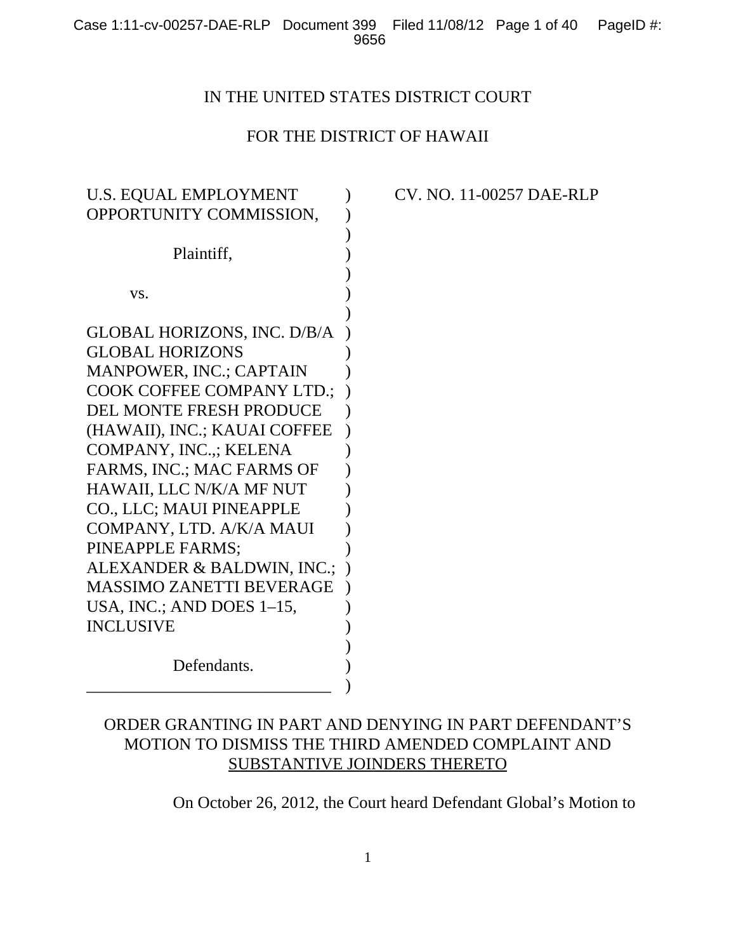## IN THE UNITED STATES DISTRICT COURT

# FOR THE DISTRICT OF HAWAII

| <b>U.S. EQUAL EMPLOYMENT</b>       |  |
|------------------------------------|--|
| OPPORTUNITY COMMISSION,            |  |
|                                    |  |
| Plaintiff,                         |  |
|                                    |  |
| VS.                                |  |
|                                    |  |
| <b>GLOBAL HORIZONS, INC. D/B/A</b> |  |
| <b>GLOBAL HORIZONS</b>             |  |
| MANPOWER, INC.; CAPTAIN            |  |
| <b>COOK COFFEE COMPANY LTD.;</b>   |  |
| <b>DEL MONTE FRESH PRODUCE</b>     |  |
| (HAWAII), INC.; KAUAI COFFEE       |  |
| COMPANY, INC.,; KELENA             |  |
| FARMS, INC.; MAC FARMS OF          |  |
| HAWAII, LLC N/K/A MF NUT           |  |
| CO., LLC; MAUI PINEAPPLE           |  |
| COMPANY, LTD. A/K/A MAUI           |  |
| PINEAPPLE FARMS;                   |  |
| ALEXANDER & BALDWIN, INC.;         |  |
| <b>MASSIMO ZANETTI BEVERAGE</b>    |  |
| USA, INC.; AND DOES $1-15$ ,       |  |
| <b>INCLUSIVE</b>                   |  |
|                                    |  |
| Defendants.                        |  |
|                                    |  |

CV. NO. 11-00257 DAE-RLP

# ORDER GRANTING IN PART AND DENYING IN PART DEFENDANT'S MOTION TO DISMISS THE THIRD AMENDED COMPLAINT AND SUBSTANTIVE JOINDERS THERETO

On October 26, 2012, the Court heard Defendant Global's Motion to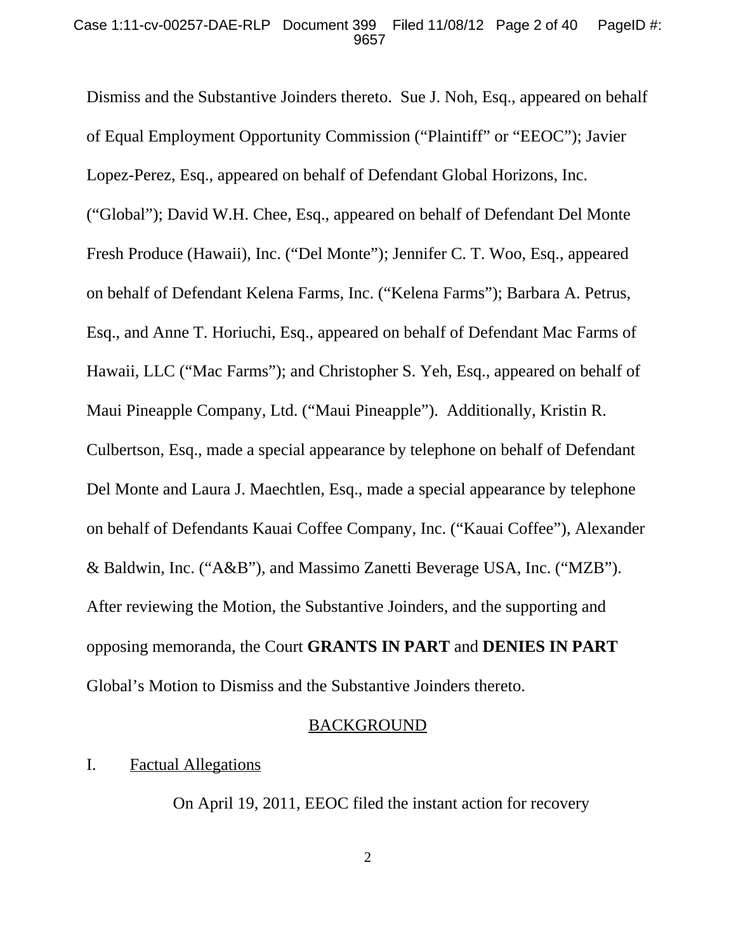Dismiss and the Substantive Joinders thereto. Sue J. Noh, Esq., appeared on behalf of Equal Employment Opportunity Commission ("Plaintiff" or "EEOC"); Javier Lopez-Perez, Esq., appeared on behalf of Defendant Global Horizons, Inc. ("Global"); David W.H. Chee, Esq., appeared on behalf of Defendant Del Monte Fresh Produce (Hawaii), Inc. ("Del Monte"); Jennifer C. T. Woo, Esq., appeared on behalf of Defendant Kelena Farms, Inc. ("Kelena Farms"); Barbara A. Petrus, Esq., and Anne T. Horiuchi, Esq., appeared on behalf of Defendant Mac Farms of Hawaii, LLC ("Mac Farms"); and Christopher S. Yeh, Esq., appeared on behalf of Maui Pineapple Company, Ltd. ("Maui Pineapple"). Additionally, Kristin R. Culbertson, Esq., made a special appearance by telephone on behalf of Defendant Del Monte and Laura J. Maechtlen, Esq., made a special appearance by telephone on behalf of Defendants Kauai Coffee Company, Inc. ("Kauai Coffee"), Alexander & Baldwin, Inc. ("A&B"), and Massimo Zanetti Beverage USA, Inc. ("MZB"). After reviewing the Motion, the Substantive Joinders, and the supporting and opposing memoranda, the Court **GRANTS IN PART** and **DENIES IN PART** Global's Motion to Dismiss and the Substantive Joinders thereto.

#### BACKGROUND

### I. Factual Allegations

On April 19, 2011, EEOC filed the instant action for recovery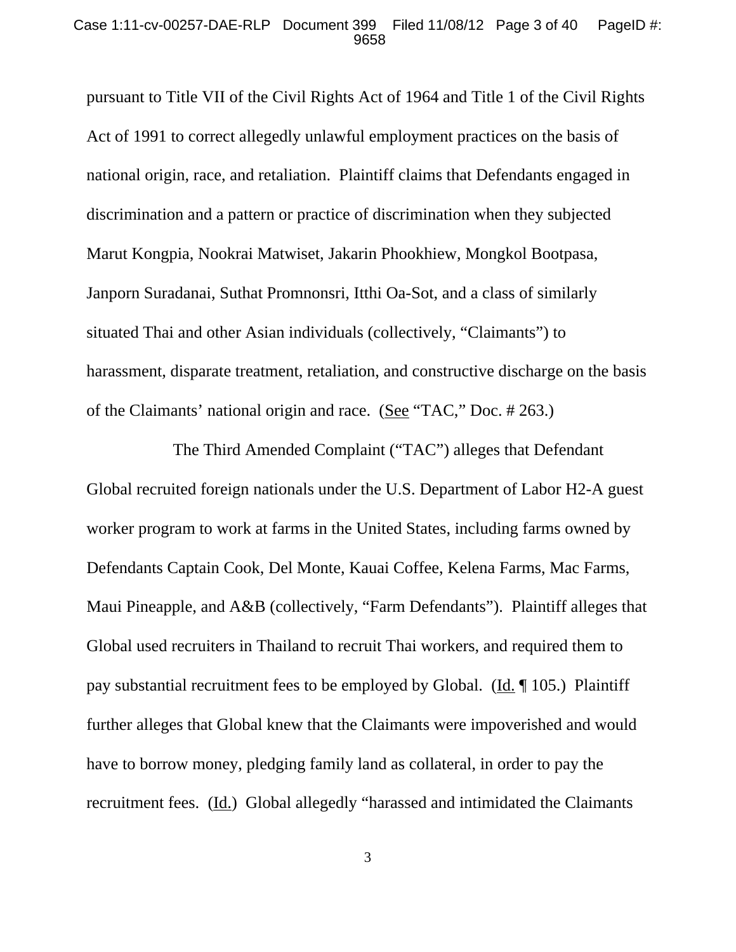pursuant to Title VII of the Civil Rights Act of 1964 and Title 1 of the Civil Rights Act of 1991 to correct allegedly unlawful employment practices on the basis of national origin, race, and retaliation. Plaintiff claims that Defendants engaged in discrimination and a pattern or practice of discrimination when they subjected Marut Kongpia, Nookrai Matwiset, Jakarin Phookhiew, Mongkol Bootpasa, Janporn Suradanai, Suthat Promnonsri, Itthi Oa-Sot, and a class of similarly situated Thai and other Asian individuals (collectively, "Claimants") to harassment, disparate treatment, retaliation, and constructive discharge on the basis of the Claimants' national origin and race. (See "TAC," Doc. # 263.)

The Third Amended Complaint ("TAC") alleges that Defendant Global recruited foreign nationals under the U.S. Department of Labor H2-A guest worker program to work at farms in the United States, including farms owned by Defendants Captain Cook, Del Monte, Kauai Coffee, Kelena Farms, Mac Farms, Maui Pineapple, and A&B (collectively, "Farm Defendants"). Plaintiff alleges that Global used recruiters in Thailand to recruit Thai workers, and required them to pay substantial recruitment fees to be employed by Global. (Id. ¶ 105.) Plaintiff further alleges that Global knew that the Claimants were impoverished and would have to borrow money, pledging family land as collateral, in order to pay the recruitment fees. (Id.) Global allegedly "harassed and intimidated the Claimants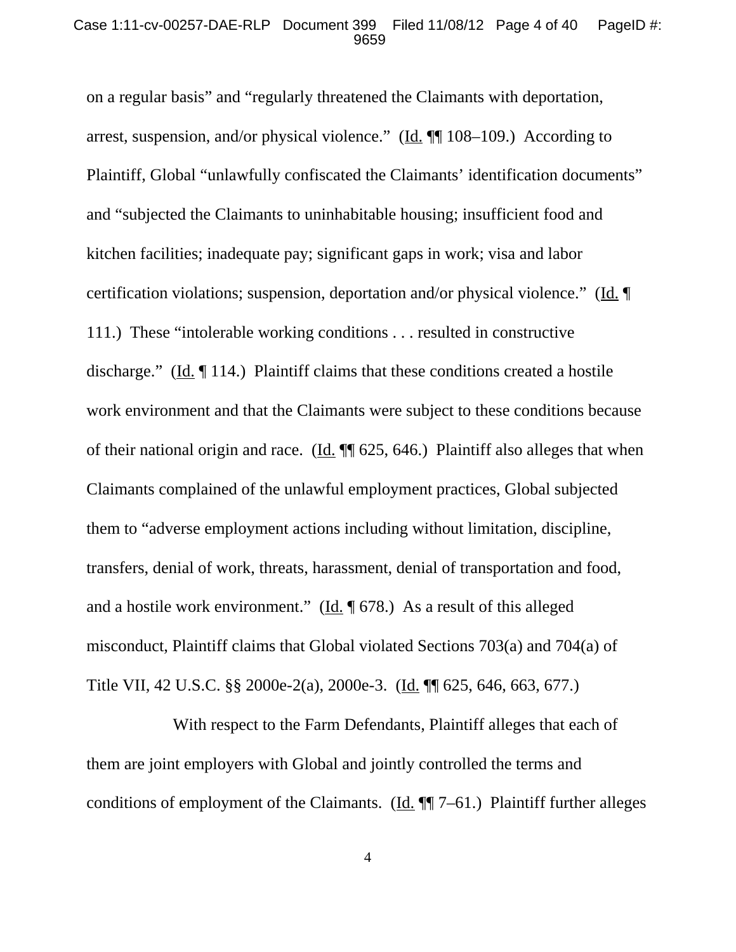on a regular basis" and "regularly threatened the Claimants with deportation, arrest, suspension, and/or physical violence." ( $\underline{Id}$ .  $\P\P$  108–109.) According to Plaintiff, Global "unlawfully confiscated the Claimants' identification documents" and "subjected the Claimants to uninhabitable housing; insufficient food and kitchen facilities; inadequate pay; significant gaps in work; visa and labor certification violations; suspension, deportation and/or physical violence." (Id. ¶ 111.) These "intolerable working conditions . . . resulted in constructive discharge." ( $\underline{Id}$ .  $\P$  114.) Plaintiff claims that these conditions created a hostile work environment and that the Claimants were subject to these conditions because of their national origin and race. (Id.  $\P$  625, 646.) Plaintiff also alleges that when Claimants complained of the unlawful employment practices, Global subjected them to "adverse employment actions including without limitation, discipline, transfers, denial of work, threats, harassment, denial of transportation and food, and a hostile work environment." ( $\underline{Id}$ ,  $\P$  678.) As a result of this alleged misconduct, Plaintiff claims that Global violated Sections 703(a) and 704(a) of Title VII, 42 U.S.C. §§ 2000e-2(a), 2000e-3. (Id. ¶¶ 625, 646, 663, 677.)

With respect to the Farm Defendants, Plaintiff alleges that each of them are joint employers with Global and jointly controlled the terms and conditions of employment of the Claimants. (Id.  $\P$  7–61.) Plaintiff further alleges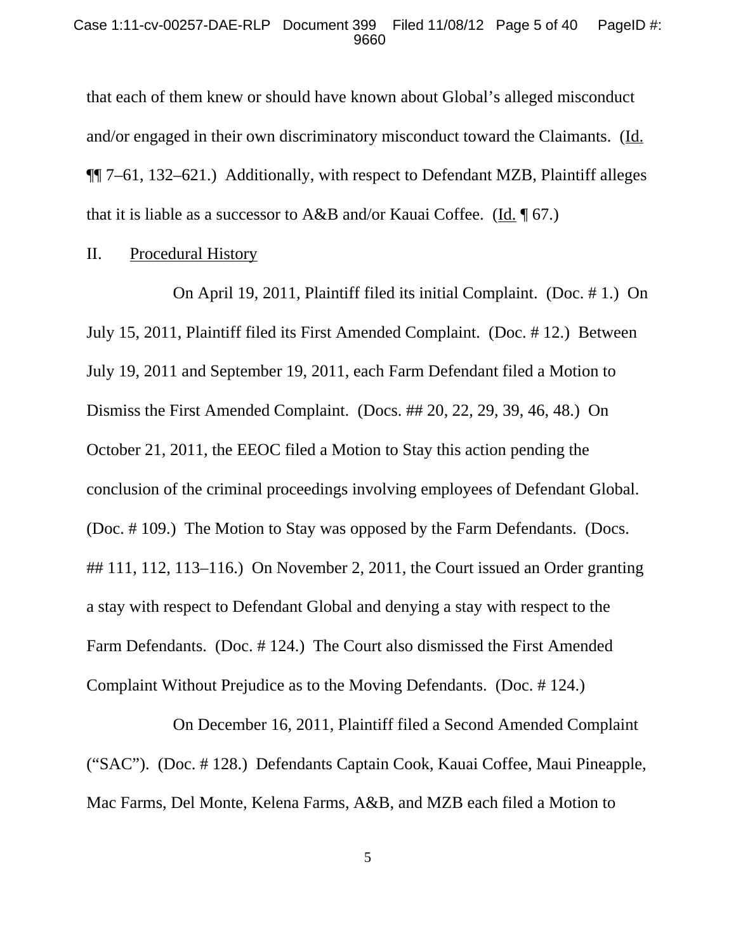that each of them knew or should have known about Global's alleged misconduct and/or engaged in their own discriminatory misconduct toward the Claimants. (Id. ¶¶ 7–61, 132–621.) Additionally, with respect to Defendant MZB, Plaintiff alleges that it is liable as a successor to  $A\&B$  and/or Kauai Coffee. (Id. 167.)

## II. Procedural History

On April 19, 2011, Plaintiff filed its initial Complaint. (Doc. # 1.) On July 15, 2011, Plaintiff filed its First Amended Complaint. (Doc. # 12.) Between July 19, 2011 and September 19, 2011, each Farm Defendant filed a Motion to Dismiss the First Amended Complaint. (Docs. ## 20, 22, 29, 39, 46, 48.) On October 21, 2011, the EEOC filed a Motion to Stay this action pending the conclusion of the criminal proceedings involving employees of Defendant Global. (Doc. # 109.) The Motion to Stay was opposed by the Farm Defendants. (Docs. ## 111, 112, 113–116.) On November 2, 2011, the Court issued an Order granting a stay with respect to Defendant Global and denying a stay with respect to the Farm Defendants. (Doc. # 124.) The Court also dismissed the First Amended Complaint Without Prejudice as to the Moving Defendants. (Doc. # 124.)

On December 16, 2011, Plaintiff filed a Second Amended Complaint ("SAC"). (Doc. # 128.) Defendants Captain Cook, Kauai Coffee, Maui Pineapple, Mac Farms, Del Monte, Kelena Farms, A&B, and MZB each filed a Motion to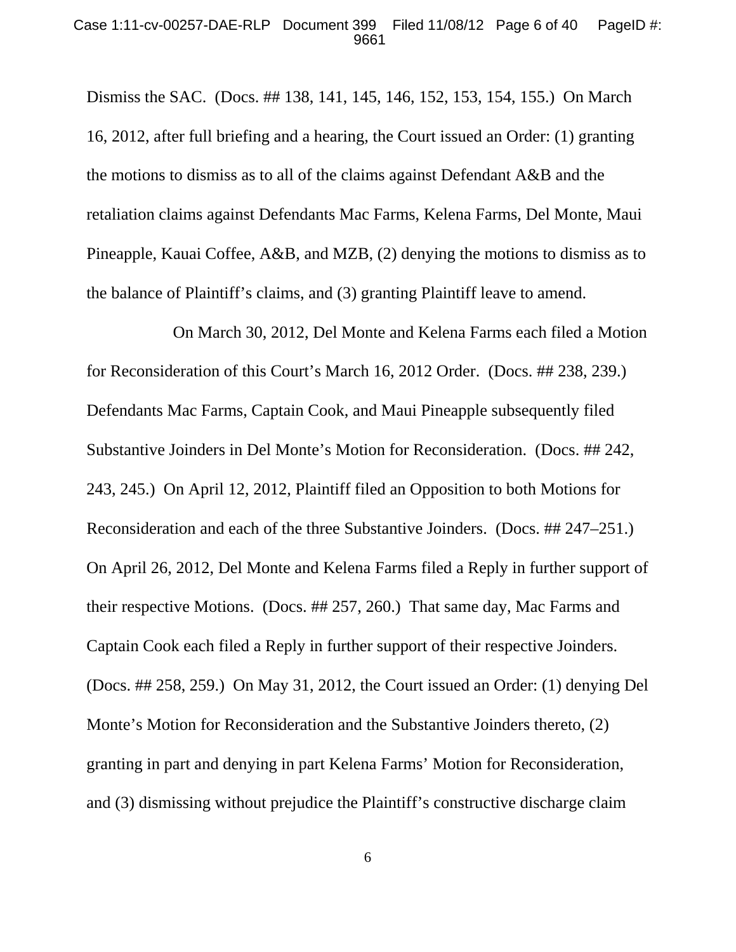#### Case 1:11-cv-00257-DAE-RLP Document 399 Filed 11/08/12 Page 6 of 40 PageID #: 9661

Dismiss the SAC. (Docs. ## 138, 141, 145, 146, 152, 153, 154, 155.) On March 16, 2012, after full briefing and a hearing, the Court issued an Order: (1) granting the motions to dismiss as to all of the claims against Defendant A&B and the retaliation claims against Defendants Mac Farms, Kelena Farms, Del Monte, Maui Pineapple, Kauai Coffee, A&B, and MZB, (2) denying the motions to dismiss as to the balance of Plaintiff's claims, and (3) granting Plaintiff leave to amend.

On March 30, 2012, Del Monte and Kelena Farms each filed a Motion for Reconsideration of this Court's March 16, 2012 Order. (Docs. ## 238, 239.) Defendants Mac Farms, Captain Cook, and Maui Pineapple subsequently filed Substantive Joinders in Del Monte's Motion for Reconsideration. (Docs. ## 242, 243, 245.) On April 12, 2012, Plaintiff filed an Opposition to both Motions for Reconsideration and each of the three Substantive Joinders. (Docs. ## 247–251.) On April 26, 2012, Del Monte and Kelena Farms filed a Reply in further support of their respective Motions. (Docs. ## 257, 260.) That same day, Mac Farms and Captain Cook each filed a Reply in further support of their respective Joinders. (Docs. ## 258, 259.) On May 31, 2012, the Court issued an Order: (1) denying Del Monte's Motion for Reconsideration and the Substantive Joinders thereto, (2) granting in part and denying in part Kelena Farms' Motion for Reconsideration, and (3) dismissing without prejudice the Plaintiff's constructive discharge claim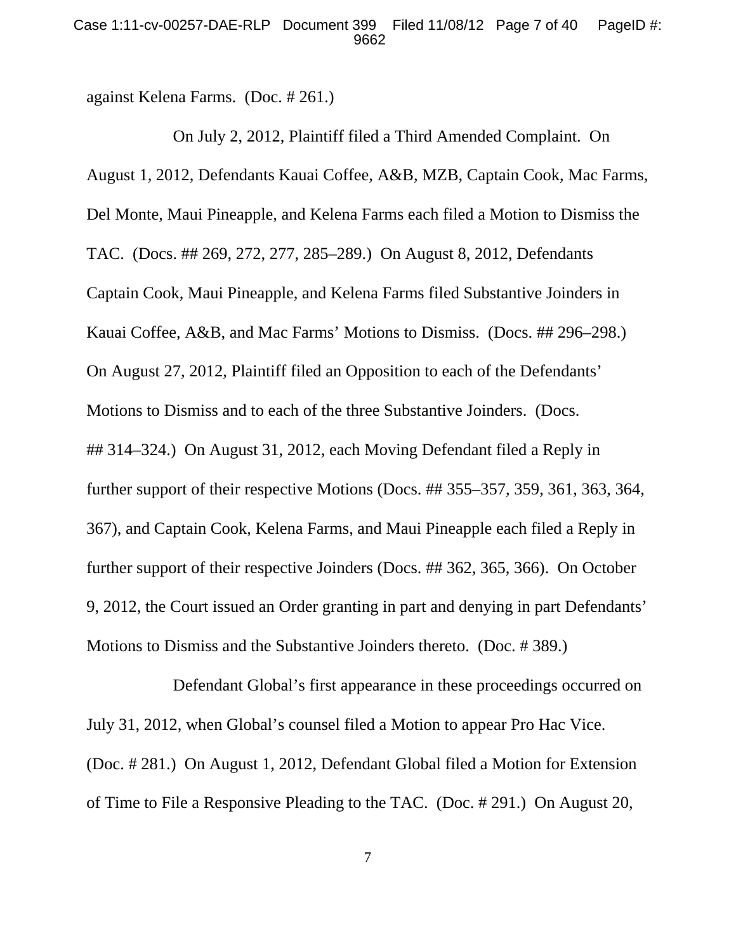against Kelena Farms. (Doc. # 261.)

On July 2, 2012, Plaintiff filed a Third Amended Complaint. On August 1, 2012, Defendants Kauai Coffee, A&B, MZB, Captain Cook, Mac Farms, Del Monte, Maui Pineapple, and Kelena Farms each filed a Motion to Dismiss the TAC. (Docs. ## 269, 272, 277, 285–289.) On August 8, 2012, Defendants Captain Cook, Maui Pineapple, and Kelena Farms filed Substantive Joinders in Kauai Coffee, A&B, and Mac Farms' Motions to Dismiss. (Docs. ## 296–298.) On August 27, 2012, Plaintiff filed an Opposition to each of the Defendants' Motions to Dismiss and to each of the three Substantive Joinders. (Docs. ## 314–324.) On August 31, 2012, each Moving Defendant filed a Reply in further support of their respective Motions (Docs. ## 355–357, 359, 361, 363, 364, 367), and Captain Cook, Kelena Farms, and Maui Pineapple each filed a Reply in further support of their respective Joinders (Docs. ## 362, 365, 366). On October 9, 2012, the Court issued an Order granting in part and denying in part Defendants' Motions to Dismiss and the Substantive Joinders thereto. (Doc. # 389.)

Defendant Global's first appearance in these proceedings occurred on July 31, 2012, when Global's counsel filed a Motion to appear Pro Hac Vice. (Doc. # 281.) On August 1, 2012, Defendant Global filed a Motion for Extension of Time to File a Responsive Pleading to the TAC. (Doc. # 291.) On August 20,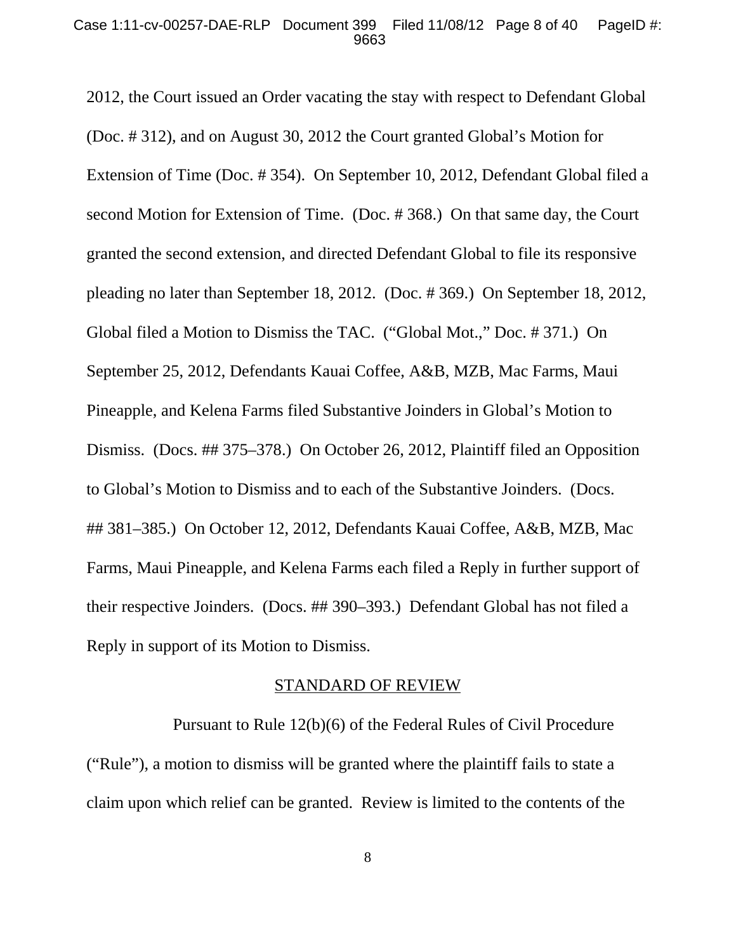2012, the Court issued an Order vacating the stay with respect to Defendant Global (Doc. # 312), and on August 30, 2012 the Court granted Global's Motion for Extension of Time (Doc. # 354). On September 10, 2012, Defendant Global filed a second Motion for Extension of Time. (Doc. # 368.) On that same day, the Court granted the second extension, and directed Defendant Global to file its responsive pleading no later than September 18, 2012. (Doc. # 369.) On September 18, 2012, Global filed a Motion to Dismiss the TAC. ("Global Mot.," Doc. # 371.) On September 25, 2012, Defendants Kauai Coffee, A&B, MZB, Mac Farms, Maui Pineapple, and Kelena Farms filed Substantive Joinders in Global's Motion to Dismiss. (Docs. ## 375–378.) On October 26, 2012, Plaintiff filed an Opposition to Global's Motion to Dismiss and to each of the Substantive Joinders. (Docs. ## 381–385.) On October 12, 2012, Defendants Kauai Coffee, A&B, MZB, Mac Farms, Maui Pineapple, and Kelena Farms each filed a Reply in further support of their respective Joinders. (Docs. ## 390–393.) Defendant Global has not filed a Reply in support of its Motion to Dismiss.

#### STANDARD OF REVIEW

Pursuant to Rule 12(b)(6) of the Federal Rules of Civil Procedure ("Rule"), a motion to dismiss will be granted where the plaintiff fails to state a claim upon which relief can be granted. Review is limited to the contents of the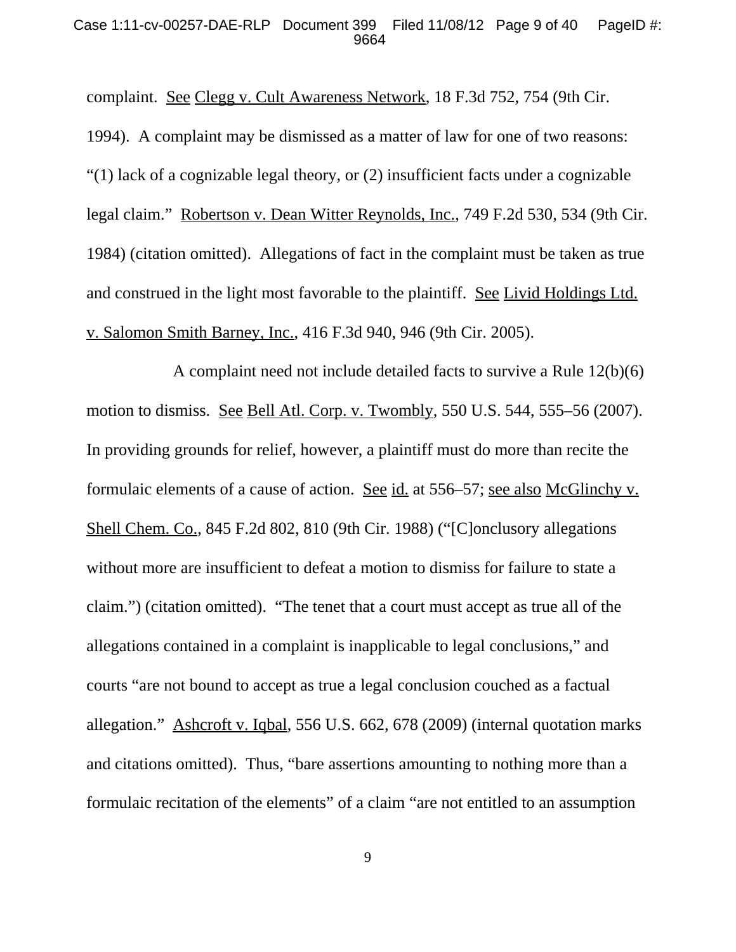#### Case 1:11-cv-00257-DAE-RLP Document 399 Filed 11/08/12 Page 9 of 40 PageID #: 9664

complaint. See Clegg v. Cult Awareness Network, 18 F.3d 752, 754 (9th Cir. 1994). A complaint may be dismissed as a matter of law for one of two reasons: "(1) lack of a cognizable legal theory, or (2) insufficient facts under a cognizable legal claim." Robertson v. Dean Witter Reynolds, Inc., 749 F.2d 530, 534 (9th Cir. 1984) (citation omitted). Allegations of fact in the complaint must be taken as true and construed in the light most favorable to the plaintiff. See Livid Holdings Ltd. v. Salomon Smith Barney, Inc., 416 F.3d 940, 946 (9th Cir. 2005).

A complaint need not include detailed facts to survive a Rule 12(b)(6) motion to dismiss. See Bell Atl. Corp. v. Twombly, 550 U.S. 544, 555–56 (2007). In providing grounds for relief, however, a plaintiff must do more than recite the formulaic elements of a cause of action. See id. at 556–57; see also McGlinchy v. Shell Chem. Co., 845 F.2d 802, 810 (9th Cir. 1988) ("[C]onclusory allegations without more are insufficient to defeat a motion to dismiss for failure to state a claim.") (citation omitted). "The tenet that a court must accept as true all of the allegations contained in a complaint is inapplicable to legal conclusions," and courts "are not bound to accept as true a legal conclusion couched as a factual allegation." Ashcroft v. Iqbal, 556 U.S. 662, 678 (2009) (internal quotation marks and citations omitted). Thus, "bare assertions amounting to nothing more than a formulaic recitation of the elements" of a claim "are not entitled to an assumption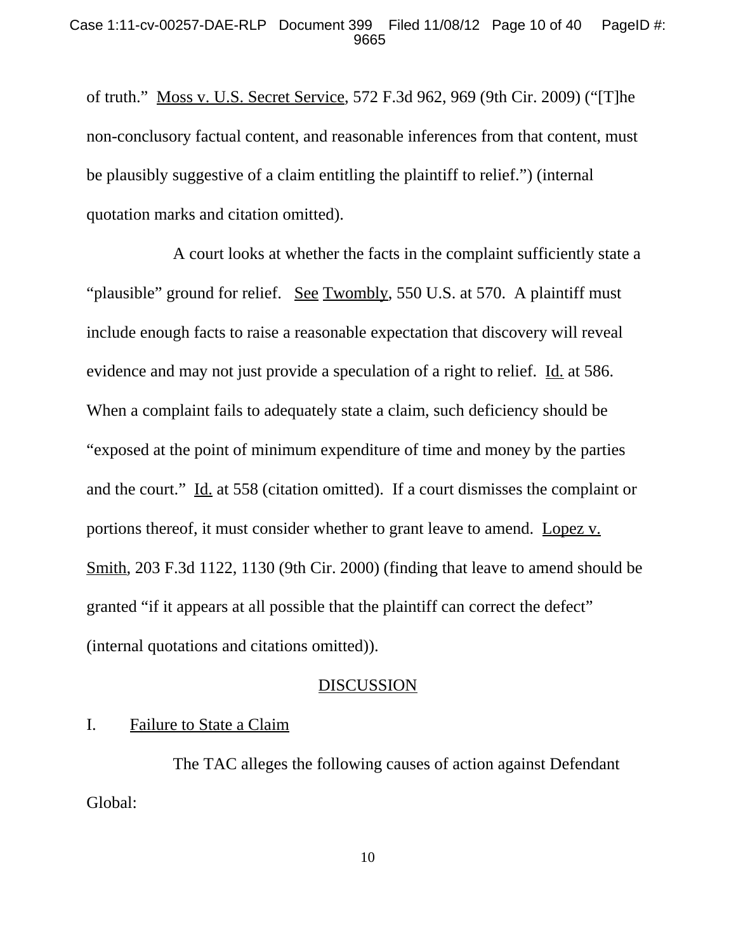of truth." Moss v. U.S. Secret Service, 572 F.3d 962, 969 (9th Cir. 2009) ("[T]he non-conclusory factual content, and reasonable inferences from that content, must be plausibly suggestive of a claim entitling the plaintiff to relief.") (internal quotation marks and citation omitted).

A court looks at whether the facts in the complaint sufficiently state a "plausible" ground for relief. See Twombly, 550 U.S. at 570. A plaintiff must include enough facts to raise a reasonable expectation that discovery will reveal evidence and may not just provide a speculation of a right to relief. Id. at 586. When a complaint fails to adequately state a claim, such deficiency should be "exposed at the point of minimum expenditure of time and money by the parties and the court." Id. at 558 (citation omitted). If a court dismisses the complaint or portions thereof, it must consider whether to grant leave to amend. Lopez v. Smith, 203 F.3d 1122, 1130 (9th Cir. 2000) (finding that leave to amend should be granted "if it appears at all possible that the plaintiff can correct the defect" (internal quotations and citations omitted)).

### **DISCUSSION**

## I. Failure to State a Claim

The TAC alleges the following causes of action against Defendant Global: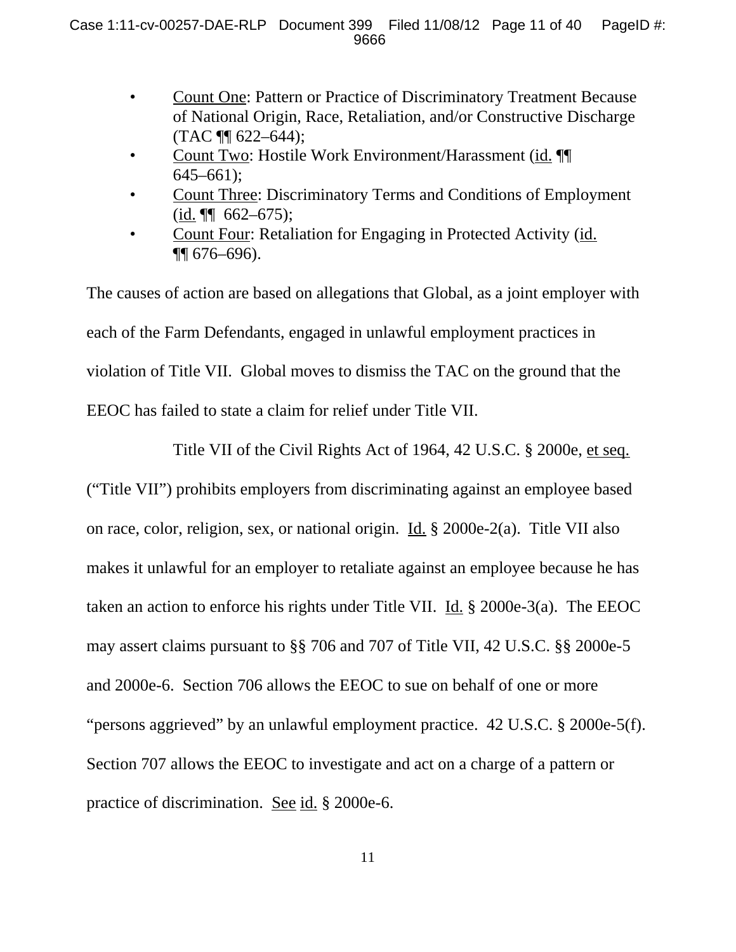- Count One: Pattern or Practice of Discriminatory Treatment Because of National Origin, Race, Retaliation, and/or Constructive Discharge (TAC ¶¶ 622–644);
- Count Two: Hostile Work Environment/Harassment (id. ¶¶  $645-661$ ;
- Count Three: Discriminatory Terms and Conditions of Employment  $(id. \P \qquad 662-675);$
- Count Four: Retaliation for Engaging in Protected Activity (id. ¶¶ 676–696).

The causes of action are based on allegations that Global, as a joint employer with each of the Farm Defendants, engaged in unlawful employment practices in violation of Title VII. Global moves to dismiss the TAC on the ground that the EEOC has failed to state a claim for relief under Title VII.

Title VII of the Civil Rights Act of 1964, 42 U.S.C. § 2000e, et seq. ("Title VII") prohibits employers from discriminating against an employee based on race, color, religion, sex, or national origin. Id. § 2000e-2(a). Title VII also makes it unlawful for an employer to retaliate against an employee because he has taken an action to enforce his rights under Title VII. Id. § 2000e-3(a). The EEOC may assert claims pursuant to §§ 706 and 707 of Title VII, 42 U.S.C. §§ 2000e-5 and 2000e-6. Section 706 allows the EEOC to sue on behalf of one or more "persons aggrieved" by an unlawful employment practice. 42 U.S.C. § 2000e-5(f). Section 707 allows the EEOC to investigate and act on a charge of a pattern or practice of discrimination. See id. § 2000e-6.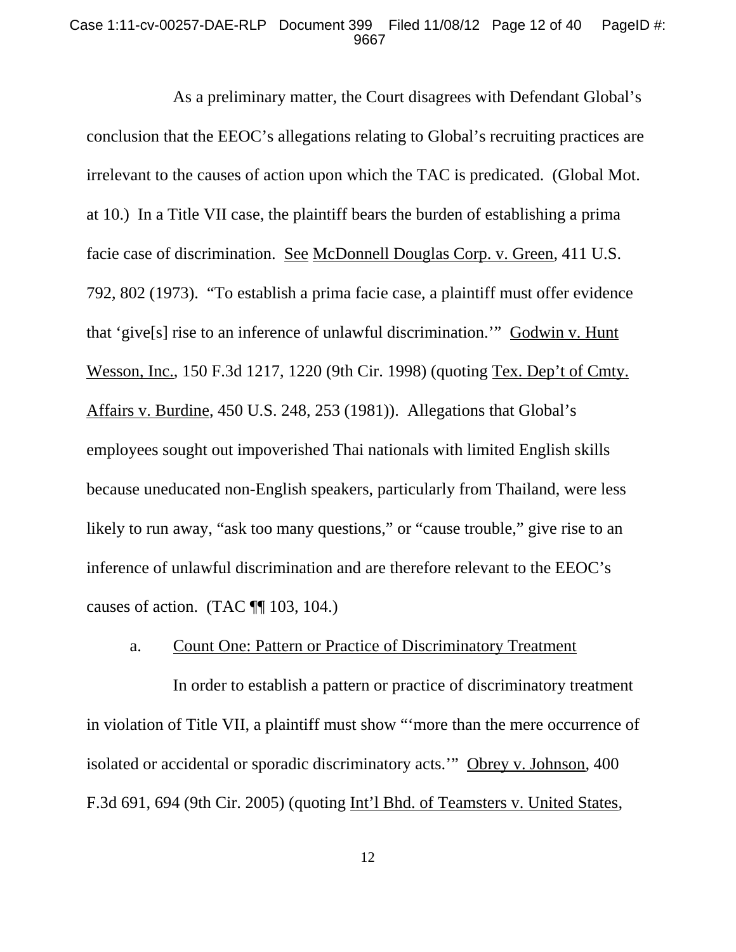#### Case 1:11-cv-00257-DAE-RLP Document 399 Filed 11/08/12 Page 12 of 40 PageID #: 9667

As a preliminary matter, the Court disagrees with Defendant Global's conclusion that the EEOC's allegations relating to Global's recruiting practices are irrelevant to the causes of action upon which the TAC is predicated. (Global Mot. at 10.) In a Title VII case, the plaintiff bears the burden of establishing a prima facie case of discrimination. See McDonnell Douglas Corp. v. Green, 411 U.S. 792, 802 (1973). "To establish a prima facie case, a plaintiff must offer evidence that 'give[s] rise to an inference of unlawful discrimination.'" Godwin v. Hunt Wesson, Inc., 150 F.3d 1217, 1220 (9th Cir. 1998) (quoting Tex. Dep't of Cmty. Affairs v. Burdine, 450 U.S. 248, 253 (1981)). Allegations that Global's employees sought out impoverished Thai nationals with limited English skills because uneducated non-English speakers, particularly from Thailand, were less likely to run away, "ask too many questions," or "cause trouble," give rise to an inference of unlawful discrimination and are therefore relevant to the EEOC's causes of action. (TAC  $\P$  103, 104.)

## a. Count One: Pattern or Practice of Discriminatory Treatment

In order to establish a pattern or practice of discriminatory treatment in violation of Title VII, a plaintiff must show "'more than the mere occurrence of isolated or accidental or sporadic discriminatory acts.'" Obrey v. Johnson, 400 F.3d 691, 694 (9th Cir. 2005) (quoting Int'l Bhd. of Teamsters v. United States,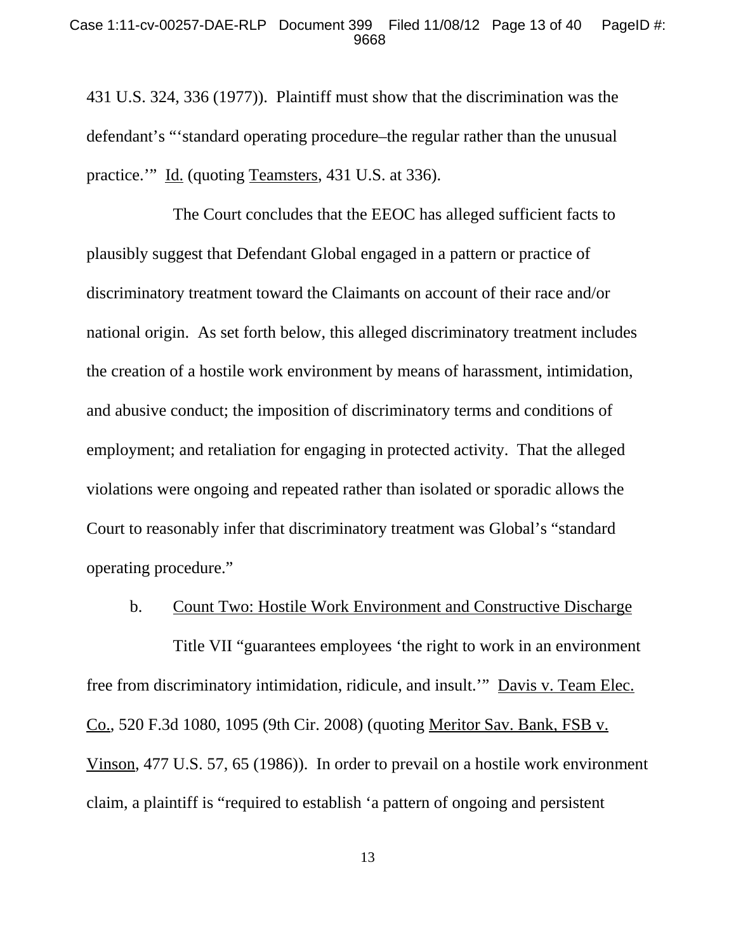431 U.S. 324, 336 (1977)). Plaintiff must show that the discrimination was the defendant's "'standard operating procedure–the regular rather than the unusual practice.'" Id. (quoting Teamsters, 431 U.S. at 336).

The Court concludes that the EEOC has alleged sufficient facts to plausibly suggest that Defendant Global engaged in a pattern or practice of discriminatory treatment toward the Claimants on account of their race and/or national origin. As set forth below, this alleged discriminatory treatment includes the creation of a hostile work environment by means of harassment, intimidation, and abusive conduct; the imposition of discriminatory terms and conditions of employment; and retaliation for engaging in protected activity. That the alleged violations were ongoing and repeated rather than isolated or sporadic allows the Court to reasonably infer that discriminatory treatment was Global's "standard operating procedure."

#### b. Count Two: Hostile Work Environment and Constructive Discharge

Title VII "guarantees employees 'the right to work in an environment free from discriminatory intimidation, ridicule, and insult.'" Davis v. Team Elec. Co., 520 F.3d 1080, 1095 (9th Cir. 2008) (quoting Meritor Sav. Bank, FSB v. Vinson, 477 U.S. 57, 65 (1986)). In order to prevail on a hostile work environment claim, a plaintiff is "required to establish 'a pattern of ongoing and persistent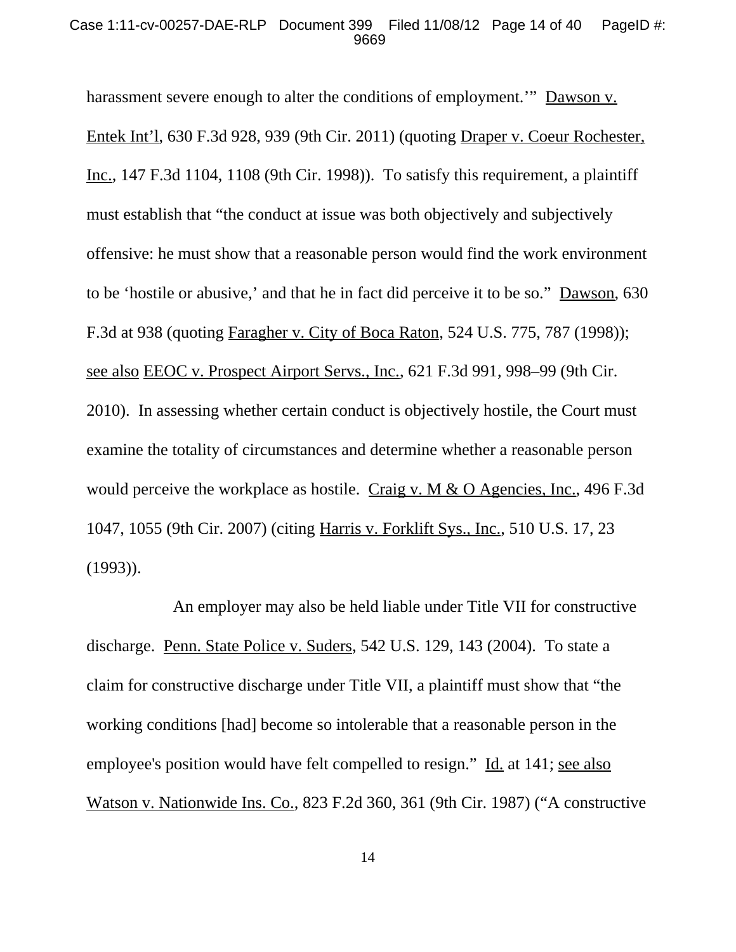#### Case 1:11-cv-00257-DAE-RLP Document 399 Filed 11/08/12 Page 14 of 40 PageID #: 9669

harassment severe enough to alter the conditions of employment." Dawson v. Entek Int'l, 630 F.3d 928, 939 (9th Cir. 2011) (quoting Draper v. Coeur Rochester, Inc., 147 F.3d 1104, 1108 (9th Cir. 1998)). To satisfy this requirement, a plaintiff must establish that "the conduct at issue was both objectively and subjectively offensive: he must show that a reasonable person would find the work environment to be 'hostile or abusive,' and that he in fact did perceive it to be so." Dawson, 630 F.3d at 938 (quoting Faragher v. City of Boca Raton, 524 U.S. 775, 787 (1998)); see also EEOC v. Prospect Airport Servs., Inc., 621 F.3d 991, 998–99 (9th Cir. 2010). In assessing whether certain conduct is objectively hostile, the Court must examine the totality of circumstances and determine whether a reasonable person would perceive the workplace as hostile. Craig v. M & O Agencies, Inc., 496 F.3d 1047, 1055 (9th Cir. 2007) (citing Harris v. Forklift Sys., Inc., 510 U.S. 17, 23 (1993)).

An employer may also be held liable under Title VII for constructive discharge. Penn. State Police v. Suders, 542 U.S. 129, 143 (2004). To state a claim for constructive discharge under Title VII, a plaintiff must show that "the working conditions [had] become so intolerable that a reasonable person in the employee's position would have felt compelled to resign." Id. at 141; see also Watson v. Nationwide Ins. Co., 823 F.2d 360, 361 (9th Cir. 1987) ("A constructive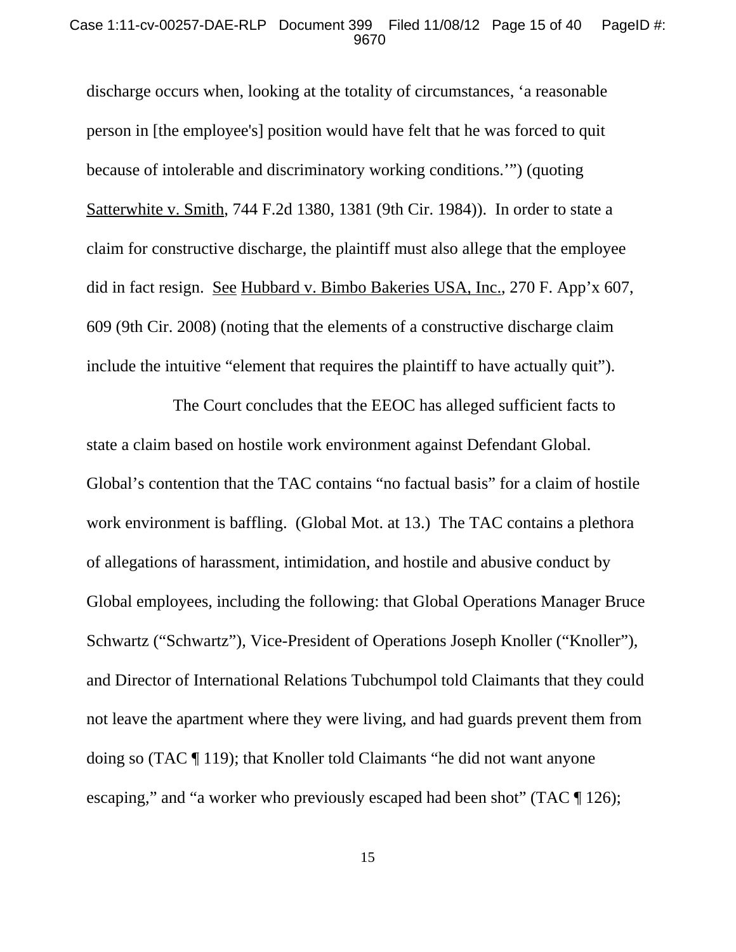#### Case 1:11-cv-00257-DAE-RLP Document 399 Filed 11/08/12 Page 15 of 40 PageID #: 9670

discharge occurs when, looking at the totality of circumstances, 'a reasonable person in [the employee's] position would have felt that he was forced to quit because of intolerable and discriminatory working conditions.'") (quoting Satterwhite v. Smith, 744 F.2d 1380, 1381 (9th Cir. 1984)). In order to state a claim for constructive discharge, the plaintiff must also allege that the employee did in fact resign. See Hubbard v. Bimbo Bakeries USA, Inc., 270 F. App'x 607, 609 (9th Cir. 2008) (noting that the elements of a constructive discharge claim include the intuitive "element that requires the plaintiff to have actually quit").

The Court concludes that the EEOC has alleged sufficient facts to state a claim based on hostile work environment against Defendant Global. Global's contention that the TAC contains "no factual basis" for a claim of hostile work environment is baffling. (Global Mot. at 13.) The TAC contains a plethora of allegations of harassment, intimidation, and hostile and abusive conduct by Global employees, including the following: that Global Operations Manager Bruce Schwartz ("Schwartz"), Vice-President of Operations Joseph Knoller ("Knoller"), and Director of International Relations Tubchumpol told Claimants that they could not leave the apartment where they were living, and had guards prevent them from doing so (TAC ¶ 119); that Knoller told Claimants "he did not want anyone escaping," and "a worker who previously escaped had been shot" (TAC ¶ 126);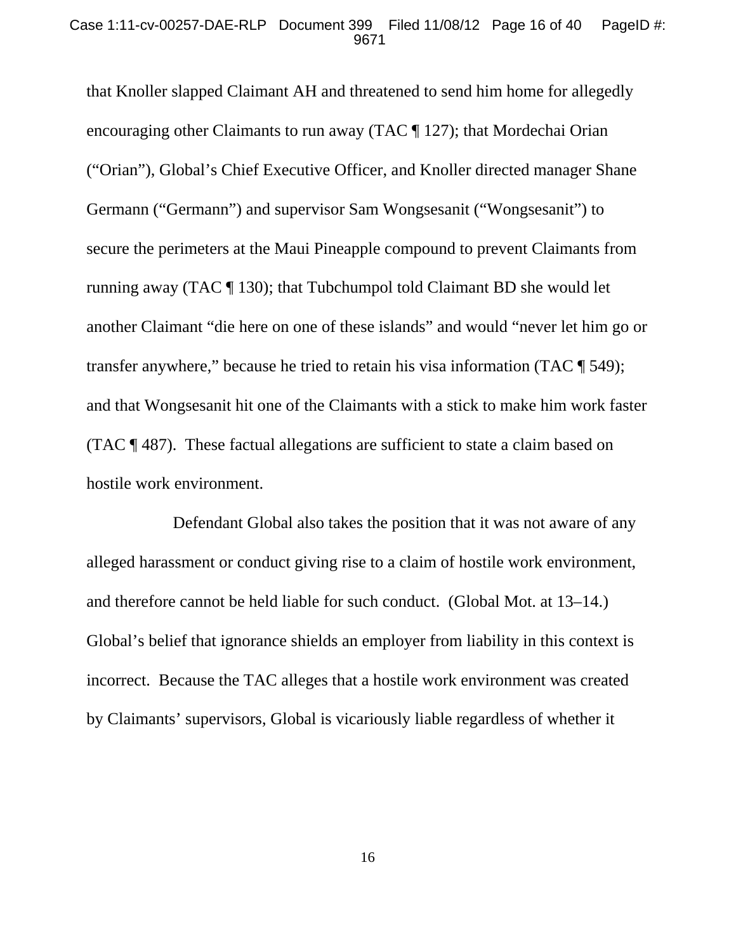#### Case 1:11-cv-00257-DAE-RLP Document 399 Filed 11/08/12 Page 16 of 40 PageID #: 9671

that Knoller slapped Claimant AH and threatened to send him home for allegedly encouraging other Claimants to run away (TAC ¶ 127); that Mordechai Orian ("Orian"), Global's Chief Executive Officer, and Knoller directed manager Shane Germann ("Germann") and supervisor Sam Wongsesanit ("Wongsesanit") to secure the perimeters at the Maui Pineapple compound to prevent Claimants from running away (TAC ¶ 130); that Tubchumpol told Claimant BD she would let another Claimant "die here on one of these islands" and would "never let him go or transfer anywhere," because he tried to retain his visa information (TAC ¶ 549); and that Wongsesanit hit one of the Claimants with a stick to make him work faster (TAC ¶ 487). These factual allegations are sufficient to state a claim based on hostile work environment.

Defendant Global also takes the position that it was not aware of any alleged harassment or conduct giving rise to a claim of hostile work environment, and therefore cannot be held liable for such conduct. (Global Mot. at 13–14.) Global's belief that ignorance shields an employer from liability in this context is incorrect. Because the TAC alleges that a hostile work environment was created by Claimants' supervisors, Global is vicariously liable regardless of whether it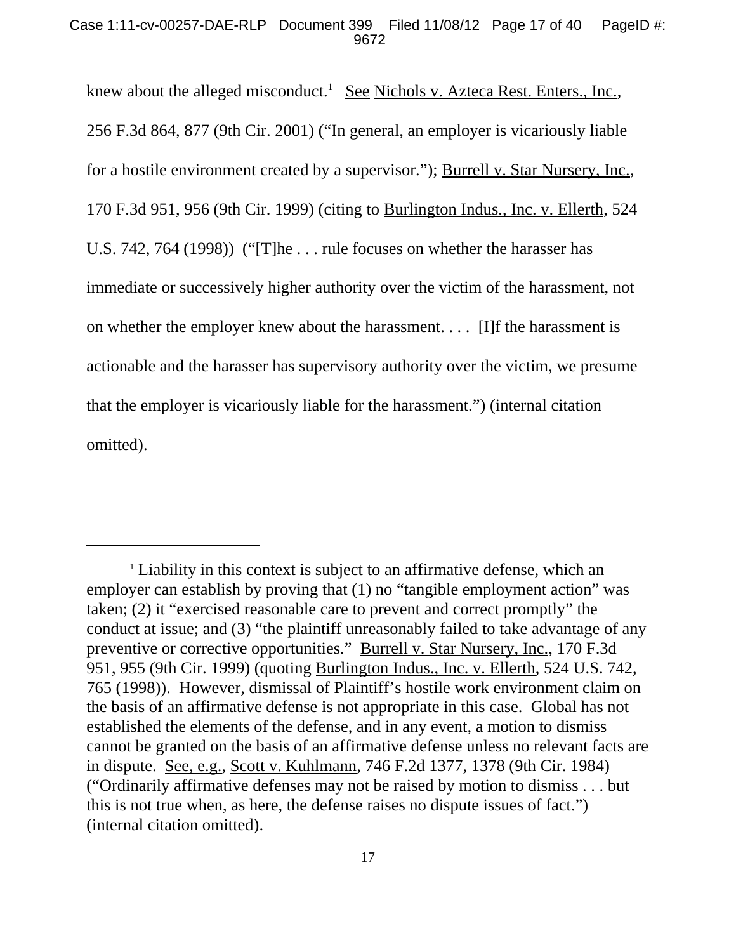knew about the alleged misconduct.<sup>1</sup> See Nichols v. Azteca Rest. Enters., Inc., 256 F.3d 864, 877 (9th Cir. 2001) ("In general, an employer is vicariously liable for a hostile environment created by a supervisor."); Burrell v. Star Nursery, Inc., 170 F.3d 951, 956 (9th Cir. 1999) (citing to Burlington Indus., Inc. v. Ellerth, 524 U.S. 742, 764 (1998)) ("[T]he . . . rule focuses on whether the harasser has immediate or successively higher authority over the victim of the harassment, not on whether the employer knew about the harassment. . . . [I]f the harassment is actionable and the harasser has supervisory authority over the victim, we presume that the employer is vicariously liable for the harassment.") (internal citation omitted).

<sup>&</sup>lt;sup>1</sup> Liability in this context is subject to an affirmative defense, which an employer can establish by proving that (1) no "tangible employment action" was taken; (2) it "exercised reasonable care to prevent and correct promptly" the conduct at issue; and (3) "the plaintiff unreasonably failed to take advantage of any preventive or corrective opportunities." Burrell v. Star Nursery, Inc., 170 F.3d 951, 955 (9th Cir. 1999) (quoting Burlington Indus., Inc. v. Ellerth, 524 U.S. 742, 765 (1998)). However, dismissal of Plaintiff's hostile work environment claim on the basis of an affirmative defense is not appropriate in this case. Global has not established the elements of the defense, and in any event, a motion to dismiss cannot be granted on the basis of an affirmative defense unless no relevant facts are in dispute. See, e.g., Scott v. Kuhlmann, 746 F.2d 1377, 1378 (9th Cir. 1984) ("Ordinarily affirmative defenses may not be raised by motion to dismiss . . . but this is not true when, as here, the defense raises no dispute issues of fact.") (internal citation omitted).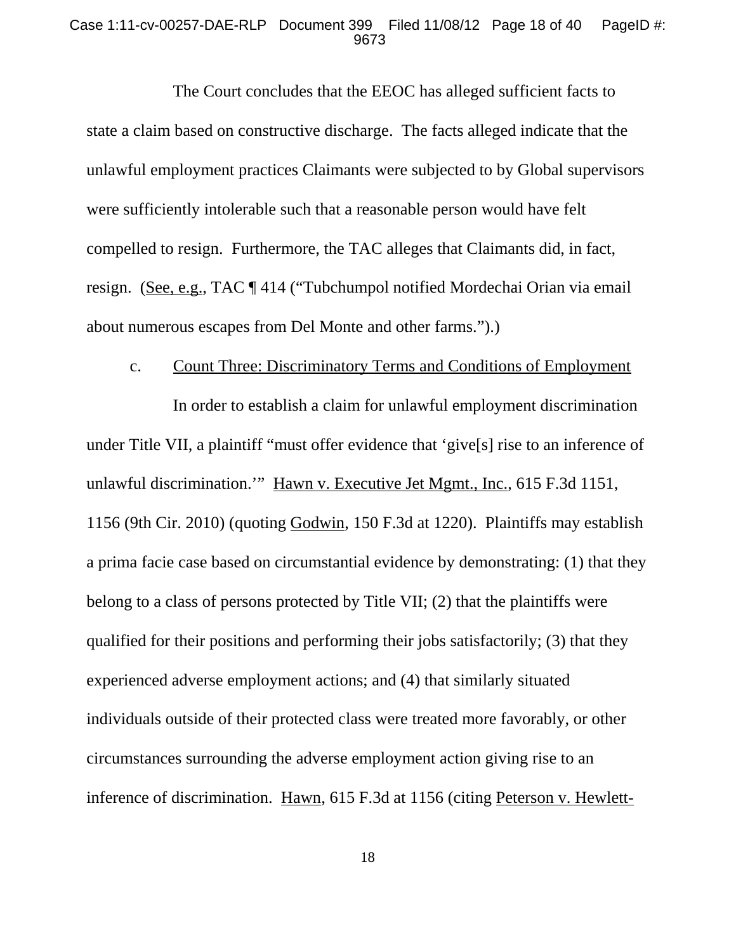#### Case 1:11-cv-00257-DAE-RLP Document 399 Filed 11/08/12 Page 18 of 40 PageID #: 9673

The Court concludes that the EEOC has alleged sufficient facts to state a claim based on constructive discharge. The facts alleged indicate that the unlawful employment practices Claimants were subjected to by Global supervisors were sufficiently intolerable such that a reasonable person would have felt compelled to resign. Furthermore, the TAC alleges that Claimants did, in fact, resign. (See, e.g., TAC ¶ 414 ("Tubchumpol notified Mordechai Orian via email about numerous escapes from Del Monte and other farms.").)

## c. Count Three: Discriminatory Terms and Conditions of Employment

In order to establish a claim for unlawful employment discrimination under Title VII, a plaintiff "must offer evidence that 'give[s] rise to an inference of unlawful discrimination." Hawn v. Executive Jet Mgmt., Inc., 615 F.3d 1151, 1156 (9th Cir. 2010) (quoting Godwin, 150 F.3d at 1220). Plaintiffs may establish a prima facie case based on circumstantial evidence by demonstrating: (1) that they belong to a class of persons protected by Title VII; (2) that the plaintiffs were qualified for their positions and performing their jobs satisfactorily; (3) that they experienced adverse employment actions; and (4) that similarly situated individuals outside of their protected class were treated more favorably, or other circumstances surrounding the adverse employment action giving rise to an inference of discrimination. Hawn, 615 F.3d at 1156 (citing Peterson v. Hewlett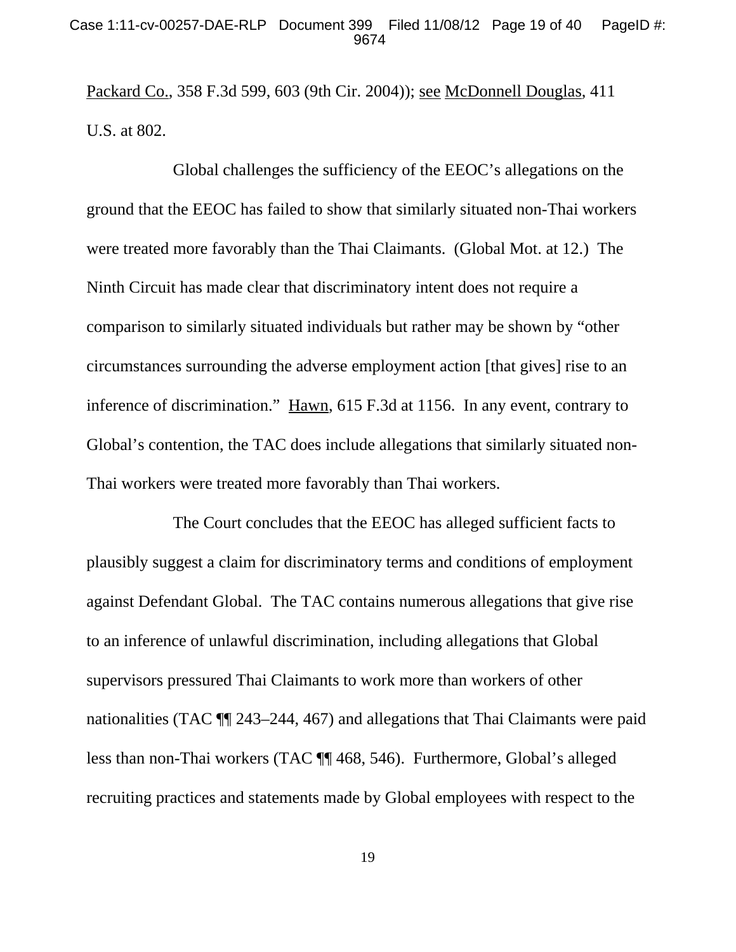Packard Co., 358 F.3d 599, 603 (9th Cir. 2004)); see McDonnell Douglas, 411 U.S. at 802.

Global challenges the sufficiency of the EEOC's allegations on the ground that the EEOC has failed to show that similarly situated non-Thai workers were treated more favorably than the Thai Claimants. (Global Mot. at 12.) The Ninth Circuit has made clear that discriminatory intent does not require a comparison to similarly situated individuals but rather may be shown by "other circumstances surrounding the adverse employment action [that gives] rise to an inference of discrimination." Hawn, 615 F.3d at 1156. In any event, contrary to Global's contention, the TAC does include allegations that similarly situated non-Thai workers were treated more favorably than Thai workers.

The Court concludes that the EEOC has alleged sufficient facts to plausibly suggest a claim for discriminatory terms and conditions of employment against Defendant Global. The TAC contains numerous allegations that give rise to an inference of unlawful discrimination, including allegations that Global supervisors pressured Thai Claimants to work more than workers of other nationalities (TAC ¶¶ 243–244, 467) and allegations that Thai Claimants were paid less than non-Thai workers (TAC ¶¶ 468, 546). Furthermore, Global's alleged recruiting practices and statements made by Global employees with respect to the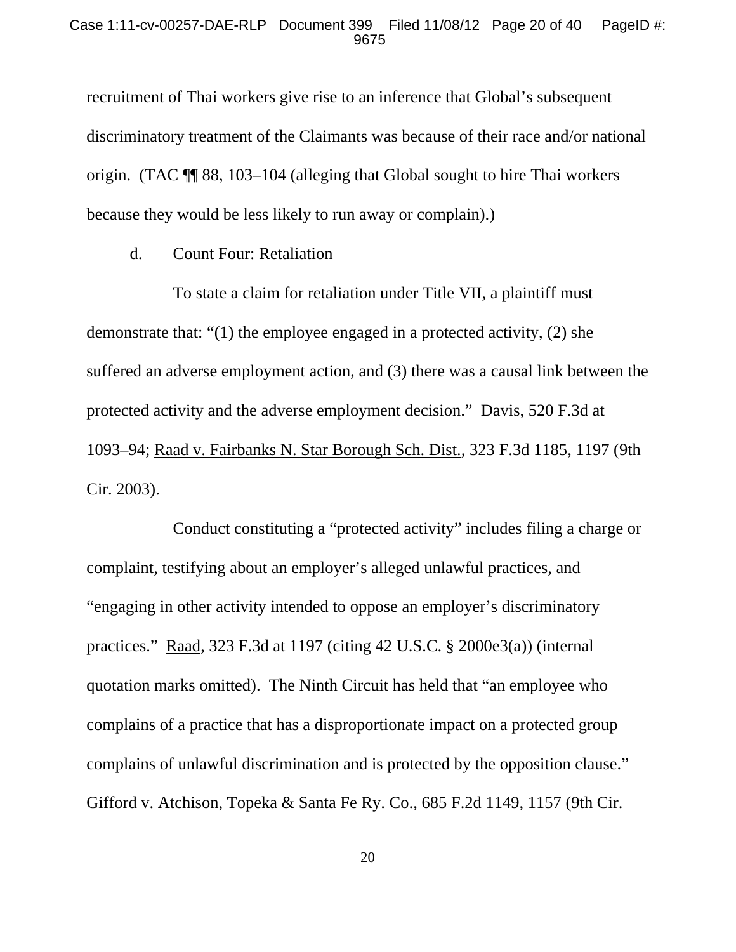recruitment of Thai workers give rise to an inference that Global's subsequent discriminatory treatment of the Claimants was because of their race and/or national origin. (TAC ¶¶ 88, 103–104 (alleging that Global sought to hire Thai workers because they would be less likely to run away or complain).)

## d. Count Four: Retaliation

To state a claim for retaliation under Title VII, a plaintiff must demonstrate that: "(1) the employee engaged in a protected activity, (2) she suffered an adverse employment action, and (3) there was a causal link between the protected activity and the adverse employment decision." Davis, 520 F.3d at 1093–94; Raad v. Fairbanks N. Star Borough Sch. Dist., 323 F.3d 1185, 1197 (9th Cir. 2003).

Conduct constituting a "protected activity" includes filing a charge or complaint, testifying about an employer's alleged unlawful practices, and "engaging in other activity intended to oppose an employer's discriminatory practices." Raad, 323 F.3d at 1197 (citing 42 U.S.C. § 2000e3(a)) (internal quotation marks omitted). The Ninth Circuit has held that "an employee who complains of a practice that has a disproportionate impact on a protected group complains of unlawful discrimination and is protected by the opposition clause." Gifford v. Atchison, Topeka & Santa Fe Ry. Co., 685 F.2d 1149, 1157 (9th Cir.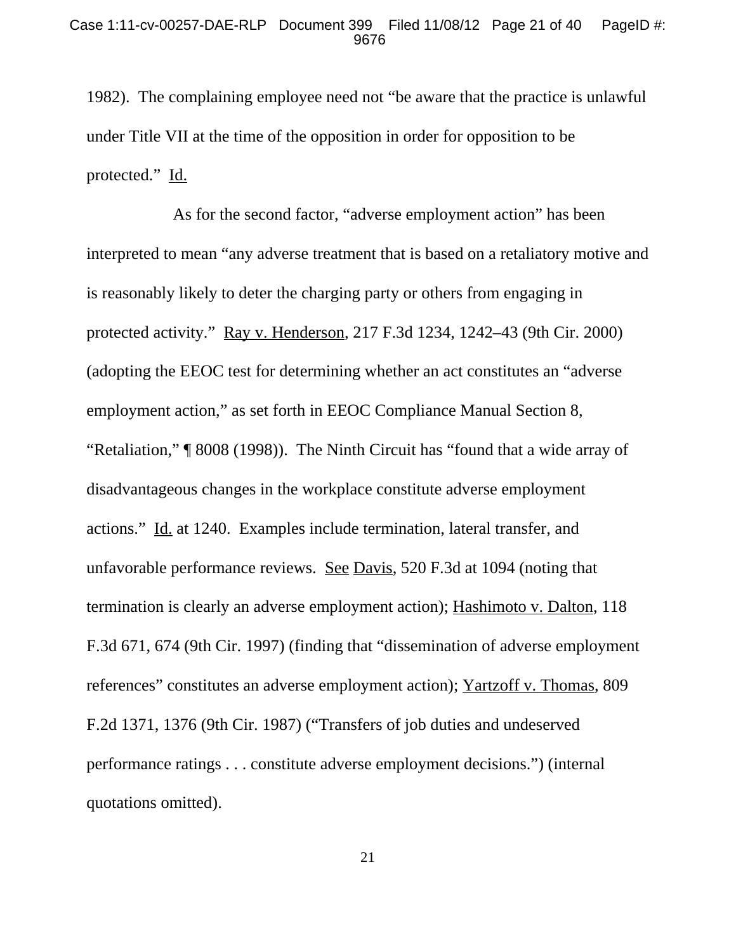1982). The complaining employee need not "be aware that the practice is unlawful under Title VII at the time of the opposition in order for opposition to be protected." Id.

As for the second factor, "adverse employment action" has been interpreted to mean "any adverse treatment that is based on a retaliatory motive and is reasonably likely to deter the charging party or others from engaging in protected activity." Ray v. Henderson, 217 F.3d 1234, 1242–43 (9th Cir. 2000) (adopting the EEOC test for determining whether an act constitutes an "adverse employment action," as set forth in EEOC Compliance Manual Section 8, "Retaliation," ¶ 8008 (1998)). The Ninth Circuit has "found that a wide array of disadvantageous changes in the workplace constitute adverse employment actions." Id. at 1240. Examples include termination, lateral transfer, and unfavorable performance reviews. See Davis, 520 F.3d at 1094 (noting that termination is clearly an adverse employment action); Hashimoto v. Dalton, 118 F.3d 671, 674 (9th Cir. 1997) (finding that "dissemination of adverse employment references" constitutes an adverse employment action); Yartzoff v. Thomas, 809 F.2d 1371, 1376 (9th Cir. 1987) ("Transfers of job duties and undeserved performance ratings . . . constitute adverse employment decisions.") (internal quotations omitted).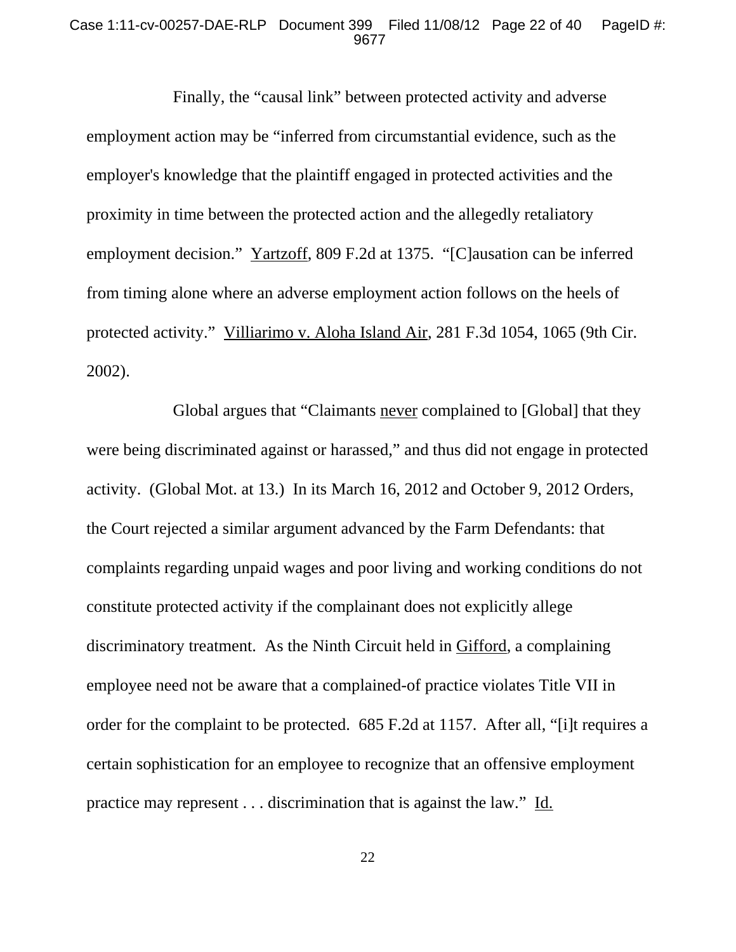#### Case 1:11-cv-00257-DAE-RLP Document 399 Filed 11/08/12 Page 22 of 40 PageID #: 9677

Finally, the "causal link" between protected activity and adverse employment action may be "inferred from circumstantial evidence, such as the employer's knowledge that the plaintiff engaged in protected activities and the proximity in time between the protected action and the allegedly retaliatory employment decision." Yartzoff, 809 F.2d at 1375. "[C]ausation can be inferred from timing alone where an adverse employment action follows on the heels of protected activity." Villiarimo v. Aloha Island Air, 281 F.3d 1054, 1065 (9th Cir. 2002).

Global argues that "Claimants never complained to [Global] that they were being discriminated against or harassed," and thus did not engage in protected activity. (Global Mot. at 13.) In its March 16, 2012 and October 9, 2012 Orders, the Court rejected a similar argument advanced by the Farm Defendants: that complaints regarding unpaid wages and poor living and working conditions do not constitute protected activity if the complainant does not explicitly allege discriminatory treatment. As the Ninth Circuit held in Gifford, a complaining employee need not be aware that a complained-of practice violates Title VII in order for the complaint to be protected. 685 F.2d at 1157. After all, "[i]t requires a certain sophistication for an employee to recognize that an offensive employment practice may represent . . . discrimination that is against the law." Id.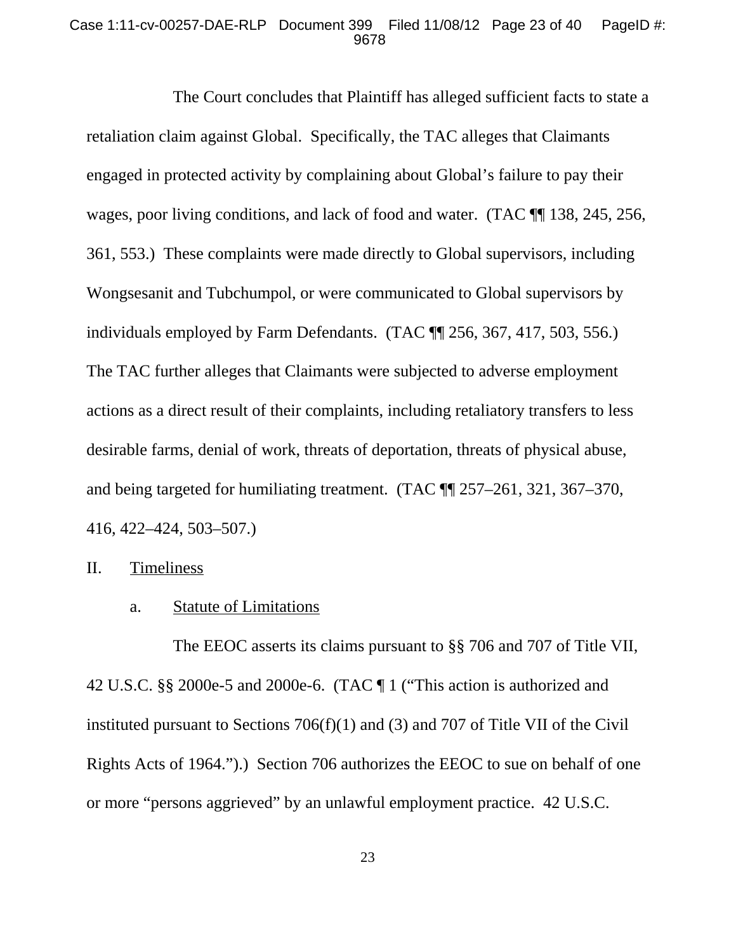#### Case 1:11-cv-00257-DAE-RLP Document 399 Filed 11/08/12 Page 23 of 40 PageID #: 9678

The Court concludes that Plaintiff has alleged sufficient facts to state a retaliation claim against Global. Specifically, the TAC alleges that Claimants engaged in protected activity by complaining about Global's failure to pay their wages, poor living conditions, and lack of food and water. (TAC ¶¶ 138, 245, 256, 361, 553.) These complaints were made directly to Global supervisors, including Wongsesanit and Tubchumpol, or were communicated to Global supervisors by individuals employed by Farm Defendants. (TAC ¶¶ 256, 367, 417, 503, 556.) The TAC further alleges that Claimants were subjected to adverse employment actions as a direct result of their complaints, including retaliatory transfers to less desirable farms, denial of work, threats of deportation, threats of physical abuse, and being targeted for humiliating treatment. (TAC ¶¶ 257–261, 321, 367–370, 416, 422–424, 503–507.)

II. Timeliness

a. Statute of Limitations

The EEOC asserts its claims pursuant to §§ 706 and 707 of Title VII, 42 U.S.C. §§ 2000e-5 and 2000e-6. (TAC ¶ 1 ("This action is authorized and instituted pursuant to Sections 706(f)(1) and (3) and 707 of Title VII of the Civil Rights Acts of 1964.").) Section 706 authorizes the EEOC to sue on behalf of one or more "persons aggrieved" by an unlawful employment practice. 42 U.S.C.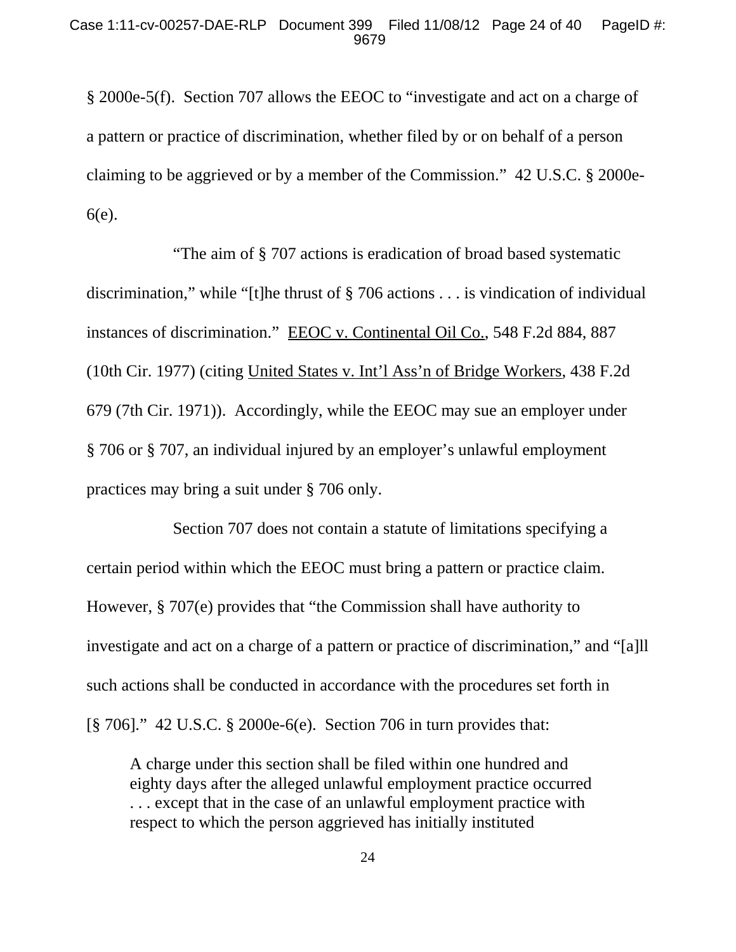§ 2000e-5(f). Section 707 allows the EEOC to "investigate and act on a charge of a pattern or practice of discrimination, whether filed by or on behalf of a person claiming to be aggrieved or by a member of the Commission." 42 U.S.C. § 2000e-6(e).

"The aim of § 707 actions is eradication of broad based systematic discrimination," while "[t]he thrust of § 706 actions . . . is vindication of individual instances of discrimination." EEOC v. Continental Oil Co., 548 F.2d 884, 887 (10th Cir. 1977) (citing United States v. Int'l Ass'n of Bridge Workers, 438 F.2d 679 (7th Cir. 1971)). Accordingly, while the EEOC may sue an employer under § 706 or § 707, an individual injured by an employer's unlawful employment practices may bring a suit under § 706 only.

Section 707 does not contain a statute of limitations specifying a certain period within which the EEOC must bring a pattern or practice claim. However, § 707(e) provides that "the Commission shall have authority to investigate and act on a charge of a pattern or practice of discrimination," and "[a]ll such actions shall be conducted in accordance with the procedures set forth in [§ 706]." 42 U.S.C. § 2000e-6(e). Section 706 in turn provides that:

A charge under this section shall be filed within one hundred and eighty days after the alleged unlawful employment practice occurred . . . except that in the case of an unlawful employment practice with respect to which the person aggrieved has initially instituted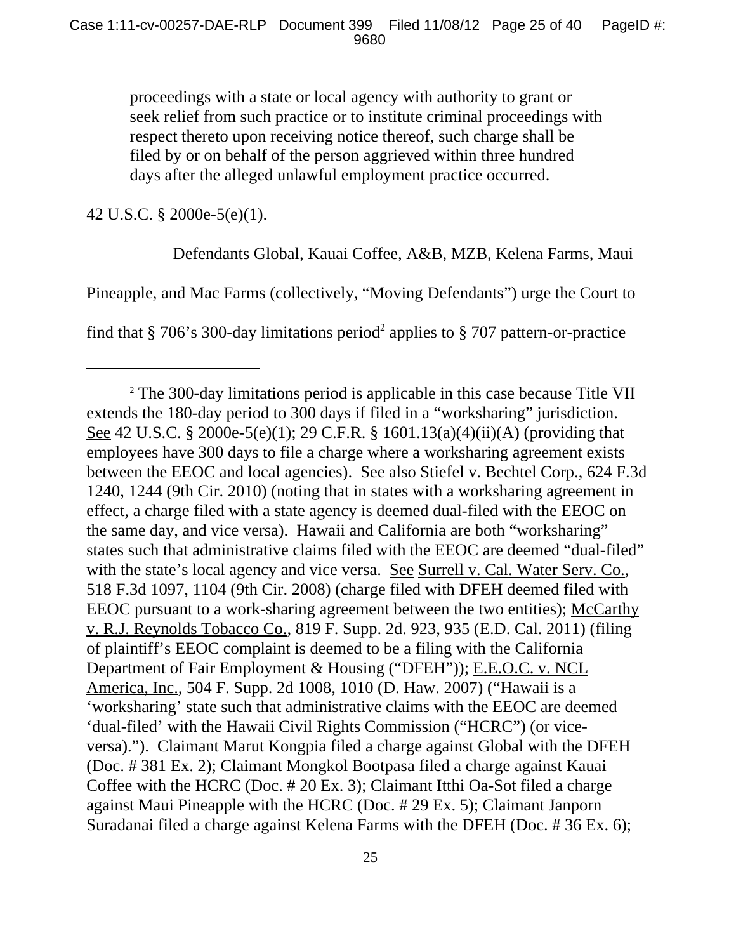proceedings with a state or local agency with authority to grant or seek relief from such practice or to institute criminal proceedings with respect thereto upon receiving notice thereof, such charge shall be filed by or on behalf of the person aggrieved within three hundred days after the alleged unlawful employment practice occurred.

42 U.S.C. § 2000e-5(e)(1).

Defendants Global, Kauai Coffee, A&B, MZB, Kelena Farms, Maui

Pineapple, and Mac Farms (collectively, "Moving Defendants") urge the Court to

find that § 706's 300-day limitations period<sup>2</sup> applies to § 707 pattern-or-practice

<sup>&</sup>lt;sup>2</sup> The 300-day limitations period is applicable in this case because Title VII extends the 180-day period to 300 days if filed in a "worksharing" jurisdiction. See 42 U.S.C. § 2000e-5(e)(1); 29 C.F.R. § 1601.13(a)(4)(ii)(A) (providing that employees have 300 days to file a charge where a worksharing agreement exists between the EEOC and local agencies). See also Stiefel v. Bechtel Corp., 624 F.3d 1240, 1244 (9th Cir. 2010) (noting that in states with a worksharing agreement in effect, a charge filed with a state agency is deemed dual-filed with the EEOC on the same day, and vice versa). Hawaii and California are both "worksharing" states such that administrative claims filed with the EEOC are deemed "dual-filed" with the state's local agency and vice versa. See Surrell v. Cal. Water Serv. Co., 518 F.3d 1097, 1104 (9th Cir. 2008) (charge filed with DFEH deemed filed with EEOC pursuant to a work-sharing agreement between the two entities); McCarthy v. R.J. Reynolds Tobacco Co., 819 F. Supp. 2d. 923, 935 (E.D. Cal. 2011) (filing of plaintiff's EEOC complaint is deemed to be a filing with the California Department of Fair Employment & Housing ("DFEH")); E.E.O.C. v. NCL America, Inc., 504 F. Supp. 2d 1008, 1010 (D. Haw. 2007) ("Hawaii is a 'worksharing' state such that administrative claims with the EEOC are deemed 'dual-filed' with the Hawaii Civil Rights Commission ("HCRC") (or viceversa)."). Claimant Marut Kongpia filed a charge against Global with the DFEH (Doc. # 381 Ex. 2); Claimant Mongkol Bootpasa filed a charge against Kauai Coffee with the HCRC (Doc. # 20 Ex. 3); Claimant Itthi Oa-Sot filed a charge against Maui Pineapple with the HCRC (Doc. # 29 Ex. 5); Claimant Janporn Suradanai filed a charge against Kelena Farms with the DFEH (Doc. # 36 Ex. 6);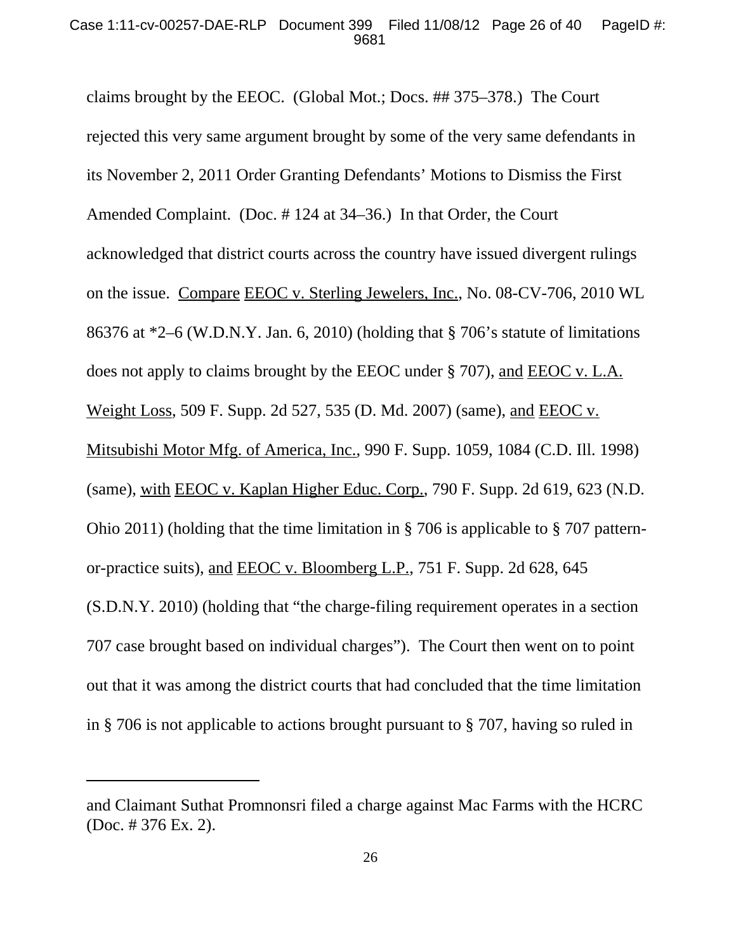claims brought by the EEOC. (Global Mot.; Docs. ## 375–378.) The Court rejected this very same argument brought by some of the very same defendants in its November 2, 2011 Order Granting Defendants' Motions to Dismiss the First Amended Complaint. (Doc. # 124 at 34–36.) In that Order, the Court acknowledged that district courts across the country have issued divergent rulings on the issue. Compare EEOC v. Sterling Jewelers, Inc., No. 08-CV-706, 2010 WL 86376 at \*2–6 (W.D.N.Y. Jan. 6, 2010) (holding that § 706's statute of limitations does not apply to claims brought by the EEOC under § 707), and EEOC v. L.A. Weight Loss, 509 F. Supp. 2d 527, 535 (D. Md. 2007) (same), and EEOC v. Mitsubishi Motor Mfg. of America, Inc., 990 F. Supp. 1059, 1084 (C.D. Ill. 1998) (same), with EEOC v. Kaplan Higher Educ. Corp., 790 F. Supp. 2d 619, 623 (N.D. Ohio 2011) (holding that the time limitation in § 706 is applicable to § 707 patternor-practice suits), and EEOC v. Bloomberg L.P., 751 F. Supp. 2d 628, 645 (S.D.N.Y. 2010) (holding that "the charge-filing requirement operates in a section 707 case brought based on individual charges"). The Court then went on to point out that it was among the district courts that had concluded that the time limitation in § 706 is not applicable to actions brought pursuant to § 707, having so ruled in

and Claimant Suthat Promnonsri filed a charge against Mac Farms with the HCRC (Doc. # 376 Ex. 2).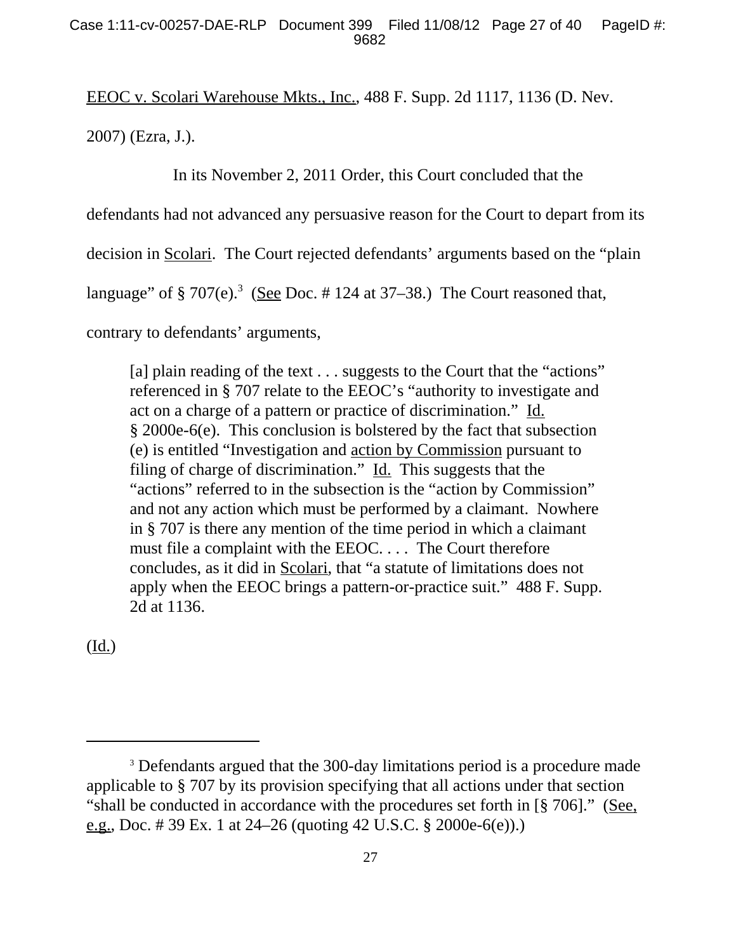EEOC v. Scolari Warehouse Mkts., Inc., 488 F. Supp. 2d 1117, 1136 (D. Nev.

2007) (Ezra, J.).

In its November 2, 2011 Order, this Court concluded that the

defendants had not advanced any persuasive reason for the Court to depart from its

decision in Scolari. The Court rejected defendants' arguments based on the "plain

language" of  $\S 707(e)$ .<sup>3</sup> (See Doc. #124 at 37–38.) The Court reasoned that,

contrary to defendants' arguments,

[a] plain reading of the text . . . suggests to the Court that the "actions" referenced in § 707 relate to the EEOC's "authority to investigate and act on a charge of a pattern or practice of discrimination." Id. § 2000e-6(e). This conclusion is bolstered by the fact that subsection (e) is entitled "Investigation and action by Commission pursuant to filing of charge of discrimination." Id. This suggests that the "actions" referred to in the subsection is the "action by Commission" and not any action which must be performed by a claimant. Nowhere in § 707 is there any mention of the time period in which a claimant must file a complaint with the EEOC. . . . The Court therefore concludes, as it did in Scolari, that "a statute of limitations does not apply when the EEOC brings a pattern-or-practice suit." 488 F. Supp. 2d at 1136.

(Id.)

<sup>&</sup>lt;sup>3</sup> Defendants argued that the 300-day limitations period is a procedure made applicable to § 707 by its provision specifying that all actions under that section "shall be conducted in accordance with the procedures set forth in [§ 706]." (See, e.g., Doc. # 39 Ex. 1 at 24–26 (quoting 42 U.S.C. § 2000e-6(e)).)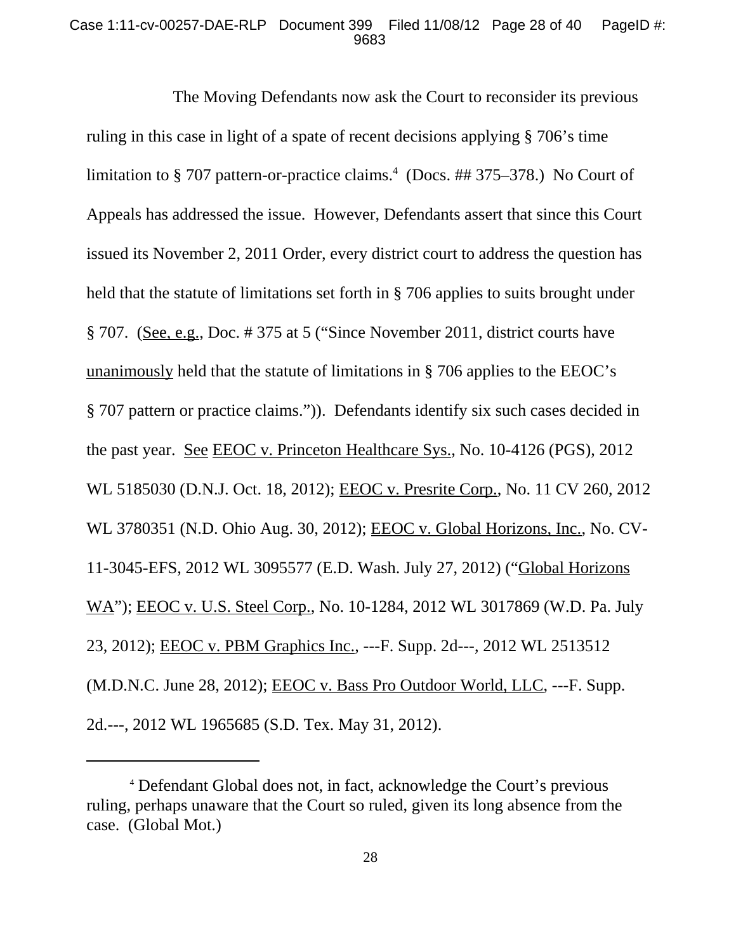#### Case 1:11-cv-00257-DAE-RLP Document 399 Filed 11/08/12 Page 28 of 40 PageID #: 9683

The Moving Defendants now ask the Court to reconsider its previous ruling in this case in light of a spate of recent decisions applying § 706's time limitation to § 707 pattern-or-practice claims.<sup>4</sup> (Docs. ## 375–378.) No Court of Appeals has addressed the issue. However, Defendants assert that since this Court issued its November 2, 2011 Order, every district court to address the question has held that the statute of limitations set forth in § 706 applies to suits brought under § 707. (See, e.g., Doc. # 375 at 5 ("Since November 2011, district courts have unanimously held that the statute of limitations in § 706 applies to the EEOC's § 707 pattern or practice claims.")). Defendants identify six such cases decided in the past year. See EEOC v. Princeton Healthcare Sys., No. 10-4126 (PGS), 2012 WL 5185030 (D.N.J. Oct. 18, 2012); EEOC v. Presrite Corp., No. 11 CV 260, 2012 WL 3780351 (N.D. Ohio Aug. 30, 2012); EEOC v. Global Horizons, Inc., No. CV-11-3045-EFS, 2012 WL 3095577 (E.D. Wash. July 27, 2012) ("Global Horizons WA"); EEOC v. U.S. Steel Corp., No. 10-1284, 2012 WL 3017869 (W.D. Pa. July 23, 2012); EEOC v. PBM Graphics Inc., ---F. Supp. 2d---, 2012 WL 2513512 (M.D.N.C. June 28, 2012); EEOC v. Bass Pro Outdoor World, LLC, ---F. Supp. 2d.---, 2012 WL 1965685 (S.D. Tex. May 31, 2012).

<sup>4</sup> Defendant Global does not, in fact, acknowledge the Court's previous ruling, perhaps unaware that the Court so ruled, given its long absence from the case. (Global Mot.)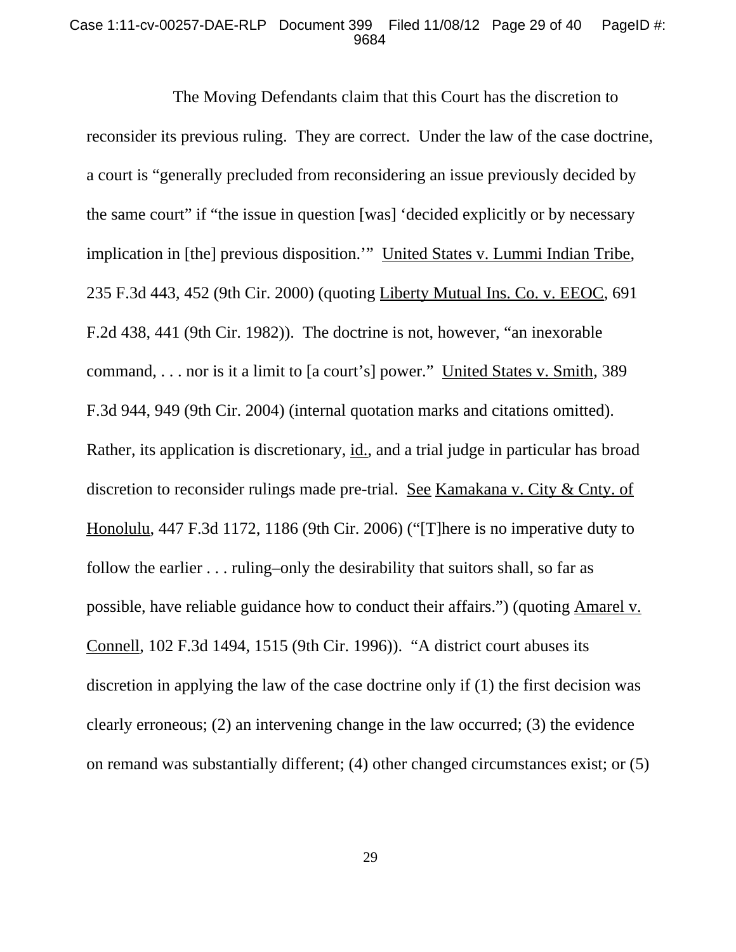#### Case 1:11-cv-00257-DAE-RLP Document 399 Filed 11/08/12 Page 29 of 40 PageID #: 9684

The Moving Defendants claim that this Court has the discretion to reconsider its previous ruling. They are correct. Under the law of the case doctrine, a court is "generally precluded from reconsidering an issue previously decided by the same court" if "the issue in question [was] 'decided explicitly or by necessary implication in [the] previous disposition.'" United States v. Lummi Indian Tribe, 235 F.3d 443, 452 (9th Cir. 2000) (quoting Liberty Mutual Ins. Co. v. EEOC, 691 F.2d 438, 441 (9th Cir. 1982)). The doctrine is not, however, "an inexorable command, . . . nor is it a limit to [a court's] power." United States v. Smith, 389 F.3d 944, 949 (9th Cir. 2004) (internal quotation marks and citations omitted). Rather, its application is discretionary, id., and a trial judge in particular has broad discretion to reconsider rulings made pre-trial. See Kamakana v. City & Cnty. of Honolulu, 447 F.3d 1172, 1186 (9th Cir. 2006) ("[T]here is no imperative duty to follow the earlier . . . ruling–only the desirability that suitors shall, so far as possible, have reliable guidance how to conduct their affairs.") (quoting Amarel v. Connell, 102 F.3d 1494, 1515 (9th Cir. 1996)). "A district court abuses its discretion in applying the law of the case doctrine only if (1) the first decision was clearly erroneous; (2) an intervening change in the law occurred; (3) the evidence on remand was substantially different; (4) other changed circumstances exist; or (5)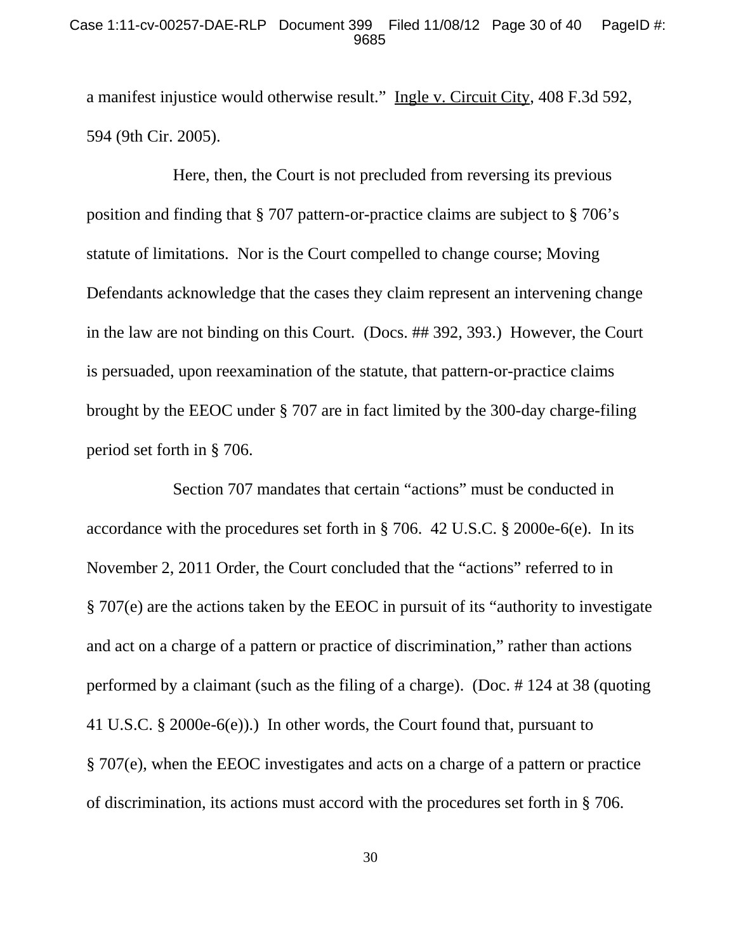#### Case 1:11-cv-00257-DAE-RLP Document 399 Filed 11/08/12 Page 30 of 40 PageID #: 9685

a manifest injustice would otherwise result." Ingle v. Circuit City, 408 F.3d 592, 594 (9th Cir. 2005).

Here, then, the Court is not precluded from reversing its previous position and finding that § 707 pattern-or-practice claims are subject to § 706's statute of limitations. Nor is the Court compelled to change course; Moving Defendants acknowledge that the cases they claim represent an intervening change in the law are not binding on this Court. (Docs. ## 392, 393.) However, the Court is persuaded, upon reexamination of the statute, that pattern-or-practice claims brought by the EEOC under § 707 are in fact limited by the 300-day charge-filing period set forth in § 706.

Section 707 mandates that certain "actions" must be conducted in accordance with the procedures set forth in § 706. 42 U.S.C. § 2000e-6(e). In its November 2, 2011 Order, the Court concluded that the "actions" referred to in § 707(e) are the actions taken by the EEOC in pursuit of its "authority to investigate and act on a charge of a pattern or practice of discrimination," rather than actions performed by a claimant (such as the filing of a charge). (Doc. # 124 at 38 (quoting 41 U.S.C. § 2000e-6(e)).) In other words, the Court found that, pursuant to § 707(e), when the EEOC investigates and acts on a charge of a pattern or practice of discrimination, its actions must accord with the procedures set forth in § 706.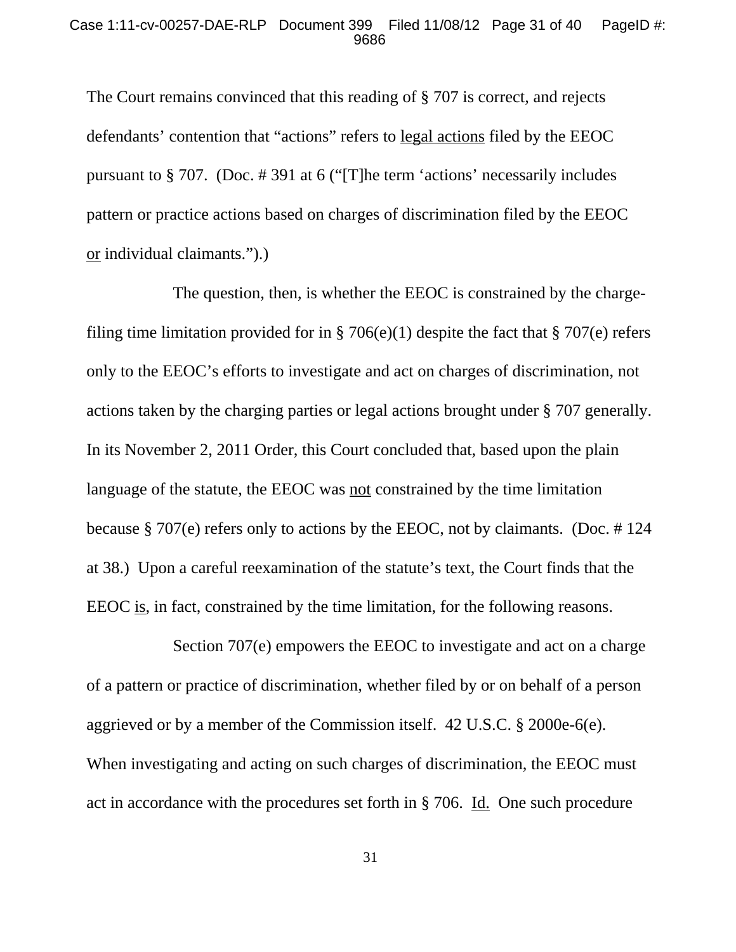The Court remains convinced that this reading of § 707 is correct, and rejects defendants' contention that "actions" refers to legal actions filed by the EEOC pursuant to § 707. (Doc. # 391 at 6 ("[T]he term 'actions' necessarily includes pattern or practice actions based on charges of discrimination filed by the EEOC or individual claimants.").)

The question, then, is whether the EEOC is constrained by the chargefiling time limitation provided for in § 706(e)(1) despite the fact that § 707(e) refers only to the EEOC's efforts to investigate and act on charges of discrimination, not actions taken by the charging parties or legal actions brought under § 707 generally. In its November 2, 2011 Order, this Court concluded that, based upon the plain language of the statute, the EEOC was not constrained by the time limitation because § 707(e) refers only to actions by the EEOC, not by claimants. (Doc. # 124 at 38.) Upon a careful reexamination of the statute's text, the Court finds that the EEOC is, in fact, constrained by the time limitation, for the following reasons.

Section 707(e) empowers the EEOC to investigate and act on a charge of a pattern or practice of discrimination, whether filed by or on behalf of a person aggrieved or by a member of the Commission itself. 42 U.S.C. § 2000e-6(e). When investigating and acting on such charges of discrimination, the EEOC must act in accordance with the procedures set forth in § 706. Id. One such procedure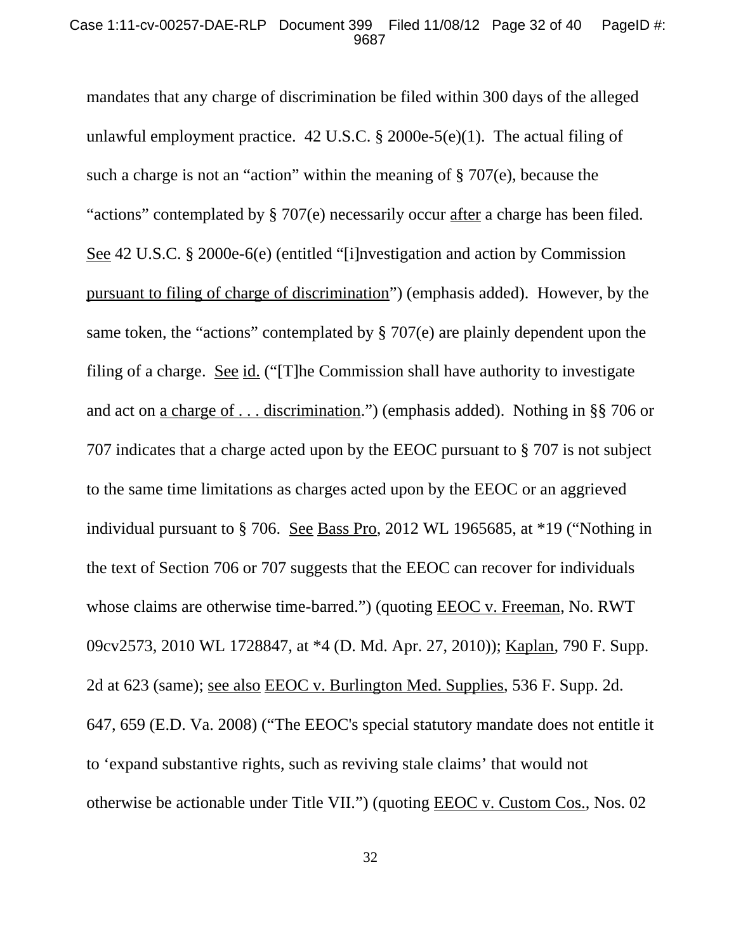mandates that any charge of discrimination be filed within 300 days of the alleged unlawful employment practice. 42 U.S.C. § 2000e-5(e)(1). The actual filing of such a charge is not an "action" within the meaning of § 707(e), because the "actions" contemplated by § 707(e) necessarily occur after a charge has been filed. See 42 U.S.C. § 2000e-6(e) (entitled "[i]nvestigation and action by Commission pursuant to filing of charge of discrimination") (emphasis added). However, by the same token, the "actions" contemplated by § 707(e) are plainly dependent upon the filing of a charge. See id. ("[T]he Commission shall have authority to investigate and act on a charge of . . . discrimination.") (emphasis added). Nothing in §§ 706 or 707 indicates that a charge acted upon by the EEOC pursuant to § 707 is not subject to the same time limitations as charges acted upon by the EEOC or an aggrieved individual pursuant to § 706. See Bass Pro, 2012 WL 1965685, at \*19 ("Nothing in the text of Section 706 or 707 suggests that the EEOC can recover for individuals whose claims are otherwise time-barred.") (quoting **EEOC** v. Freeman, No. RWT 09cv2573, 2010 WL 1728847, at \*4 (D. Md. Apr. 27, 2010)); Kaplan, 790 F. Supp. 2d at 623 (same); see also EEOC v. Burlington Med. Supplies, 536 F. Supp. 2d. 647, 659 (E.D. Va. 2008) ("The EEOC's special statutory mandate does not entitle it to 'expand substantive rights, such as reviving stale claims' that would not otherwise be actionable under Title VII.") (quoting EEOC v. Custom Cos., Nos. 02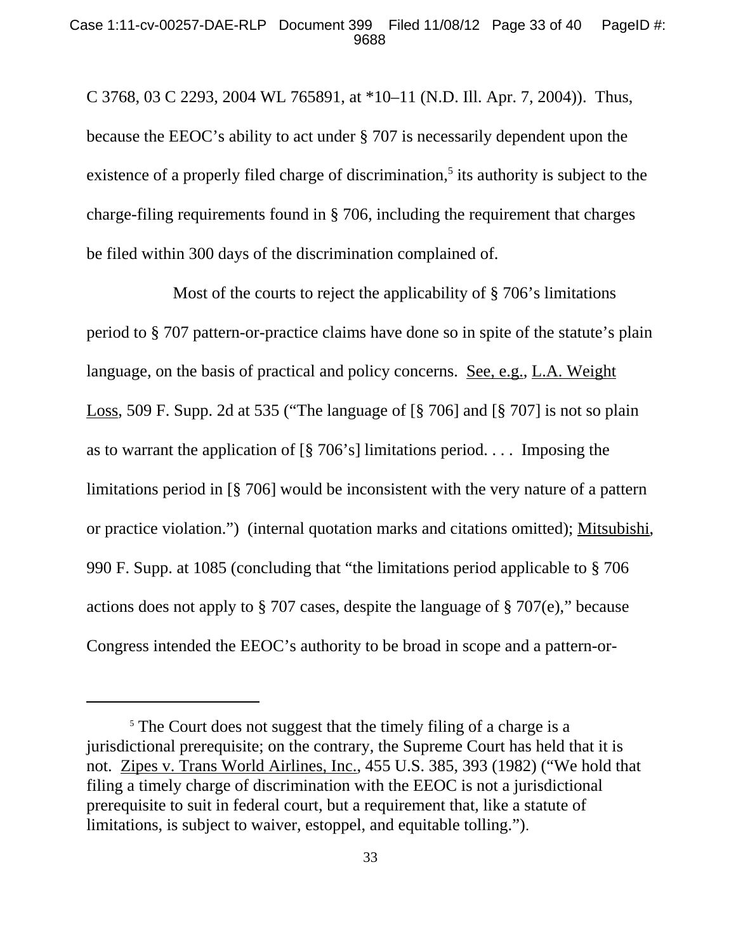C 3768, 03 C 2293, 2004 WL 765891, at \*10–11 (N.D. Ill. Apr. 7, 2004)). Thus, because the EEOC's ability to act under § 707 is necessarily dependent upon the existence of a properly filed charge of discrimination,<sup>5</sup> its authority is subject to the charge-filing requirements found in § 706, including the requirement that charges be filed within 300 days of the discrimination complained of.

Most of the courts to reject the applicability of § 706's limitations period to § 707 pattern-or-practice claims have done so in spite of the statute's plain language, on the basis of practical and policy concerns. See, e.g., L.A. Weight Loss, 509 F. Supp. 2d at 535 ("The language of [§ 706] and [§ 707] is not so plain as to warrant the application of  $\lbrack \S$  706's] limitations period.... Imposing the limitations period in [§ 706] would be inconsistent with the very nature of a pattern or practice violation.") (internal quotation marks and citations omitted); Mitsubishi, 990 F. Supp. at 1085 (concluding that "the limitations period applicable to § 706 actions does not apply to § 707 cases, despite the language of § 707(e)," because Congress intended the EEOC's authority to be broad in scope and a pattern-or-

<sup>&</sup>lt;sup>5</sup> The Court does not suggest that the timely filing of a charge is a jurisdictional prerequisite; on the contrary, the Supreme Court has held that it is not. Zipes v. Trans World Airlines, Inc., 455 U.S. 385, 393 (1982) ("We hold that filing a timely charge of discrimination with the EEOC is not a jurisdictional prerequisite to suit in federal court, but a requirement that, like a statute of limitations, is subject to waiver, estoppel, and equitable tolling.").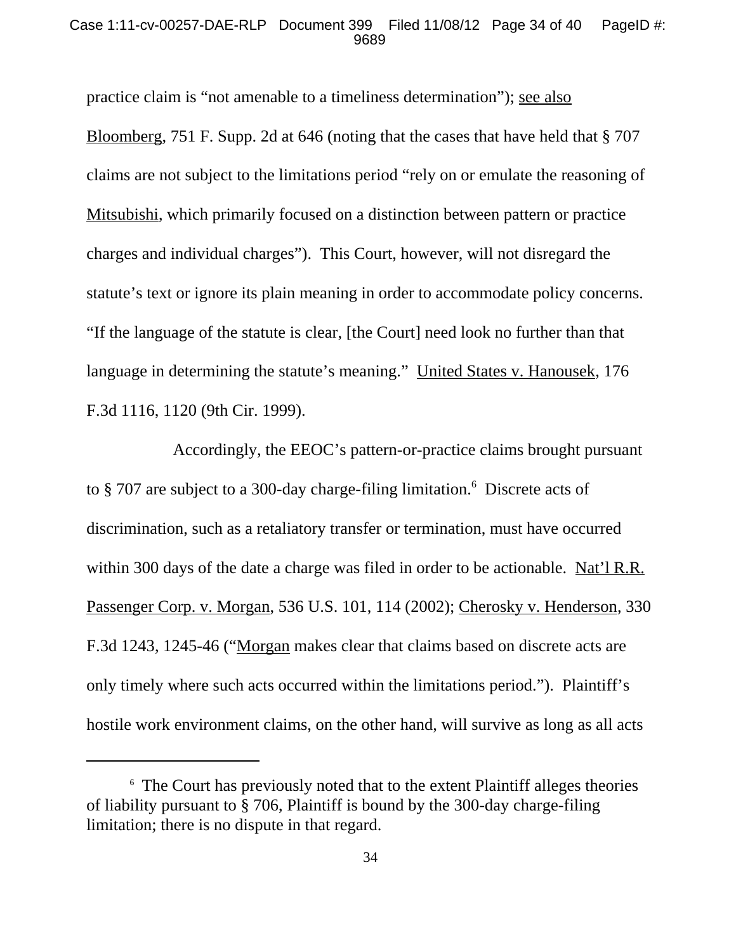#### Case 1:11-cv-00257-DAE-RLP Document 399 Filed 11/08/12 Page 34 of 40 PageID #: 9689

practice claim is "not amenable to a timeliness determination"); see also Bloomberg, 751 F. Supp. 2d at 646 (noting that the cases that have held that § 707 claims are not subject to the limitations period "rely on or emulate the reasoning of Mitsubishi, which primarily focused on a distinction between pattern or practice charges and individual charges"). This Court, however, will not disregard the statute's text or ignore its plain meaning in order to accommodate policy concerns. "If the language of the statute is clear, [the Court] need look no further than that language in determining the statute's meaning." United States v. Hanousek, 176 F.3d 1116, 1120 (9th Cir. 1999).

Accordingly, the EEOC's pattern-or-practice claims brought pursuant to § 707 are subject to a 300-day charge-filing limitation.<sup>6</sup> Discrete acts of discrimination, such as a retaliatory transfer or termination, must have occurred within 300 days of the date a charge was filed in order to be actionable. Nat'l R.R. Passenger Corp. v. Morgan, 536 U.S. 101, 114 (2002); Cherosky v. Henderson, 330 F.3d 1243, 1245-46 ("Morgan makes clear that claims based on discrete acts are only timely where such acts occurred within the limitations period."). Plaintiff's hostile work environment claims, on the other hand, will survive as long as all acts

<sup>6</sup> The Court has previously noted that to the extent Plaintiff alleges theories of liability pursuant to § 706, Plaintiff is bound by the 300-day charge-filing limitation; there is no dispute in that regard.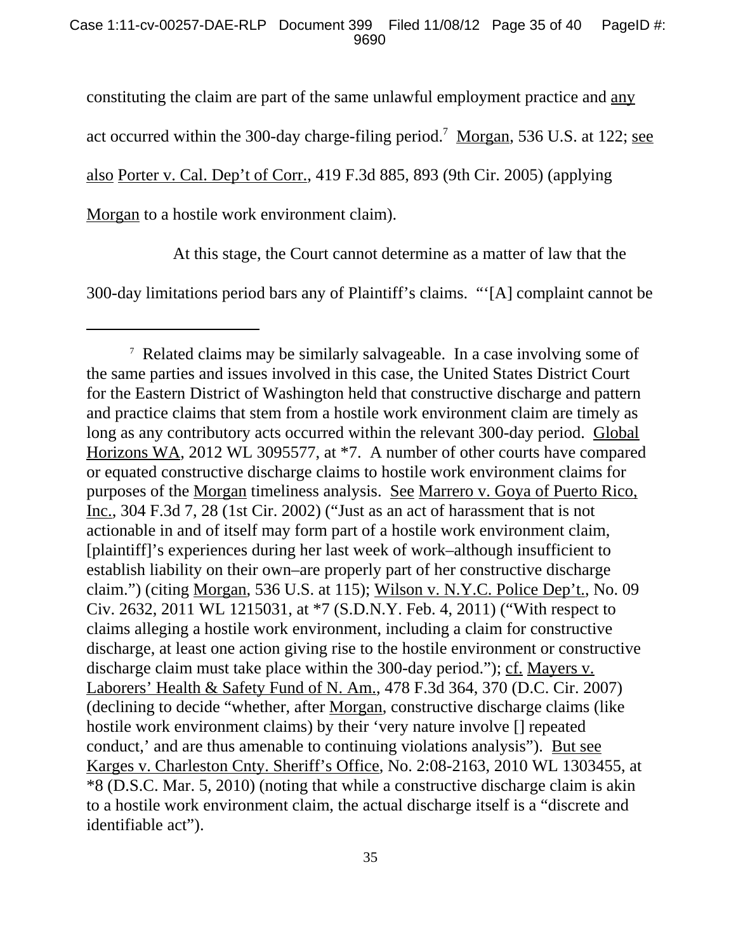constituting the claim are part of the same unlawful employment practice and any

act occurred within the 300-day charge-filing period.<sup>7</sup> Morgan, 536 U.S. at 122; see

also Porter v. Cal. Dep't of Corr., 419 F.3d 885, 893 (9th Cir. 2005) (applying

Morgan to a hostile work environment claim).

At this stage, the Court cannot determine as a matter of law that the

300-day limitations period bars any of Plaintiff's claims. "'[A] complaint cannot be

<sup>&</sup>lt;sup>7</sup> Related claims may be similarly salvageable. In a case involving some of the same parties and issues involved in this case, the United States District Court for the Eastern District of Washington held that constructive discharge and pattern and practice claims that stem from a hostile work environment claim are timely as long as any contributory acts occurred within the relevant 300-day period. Global Horizons WA, 2012 WL 3095577, at \*7. A number of other courts have compared or equated constructive discharge claims to hostile work environment claims for purposes of the Morgan timeliness analysis. See Marrero v. Goya of Puerto Rico, Inc., 304 F.3d 7, 28 (1st Cir. 2002) ("Just as an act of harassment that is not actionable in and of itself may form part of a hostile work environment claim, [plaintiff]'s experiences during her last week of work–although insufficient to establish liability on their own–are properly part of her constructive discharge claim.") (citing Morgan, 536 U.S. at 115); Wilson v. N.Y.C. Police Dep't., No. 09 Civ. 2632, 2011 WL 1215031, at \*7 (S.D.N.Y. Feb. 4, 2011) ("With respect to claims alleging a hostile work environment, including a claim for constructive discharge, at least one action giving rise to the hostile environment or constructive discharge claim must take place within the 300-day period."); cf. Mayers v. Laborers' Health & Safety Fund of N. Am., 478 F.3d 364, 370 (D.C. Cir. 2007) (declining to decide "whether, after Morgan, constructive discharge claims (like hostile work environment claims) by their 'very nature involve [] repeated conduct,' and are thus amenable to continuing violations analysis"). But see Karges v. Charleston Cnty. Sheriff's Office, No. 2:08-2163, 2010 WL 1303455, at \*8 (D.S.C. Mar. 5, 2010) (noting that while a constructive discharge claim is akin to a hostile work environment claim, the actual discharge itself is a "discrete and identifiable act").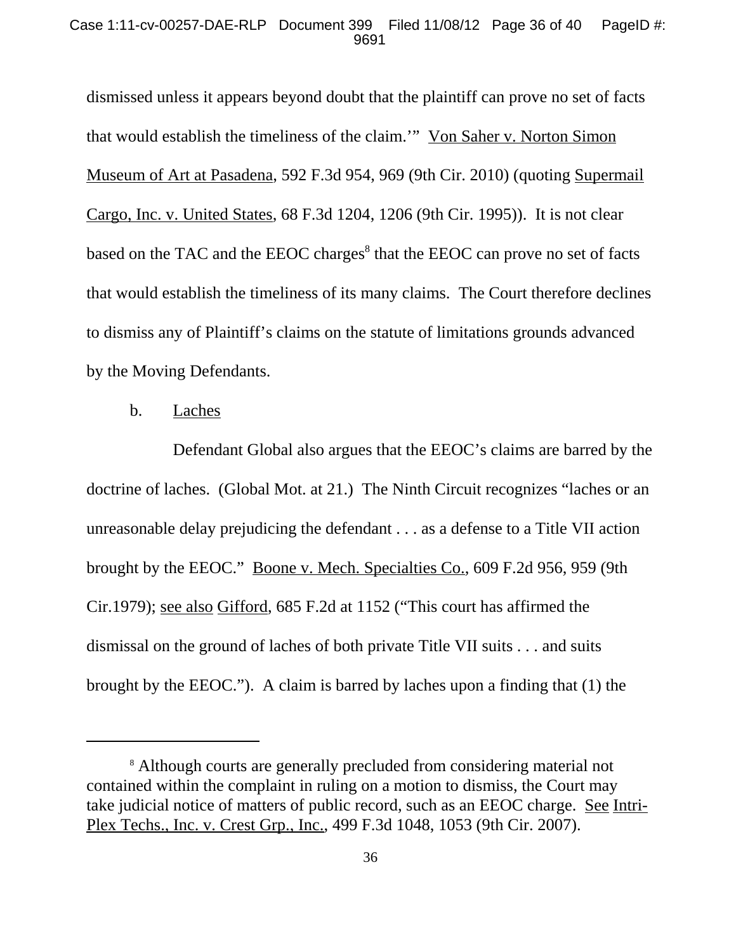#### Case 1:11-cv-00257-DAE-RLP Document 399 Filed 11/08/12 Page 36 of 40 PageID #: 9691

dismissed unless it appears beyond doubt that the plaintiff can prove no set of facts that would establish the timeliness of the claim.'" Von Saher v. Norton Simon Museum of Art at Pasadena, 592 F.3d 954, 969 (9th Cir. 2010) (quoting Supermail Cargo, Inc. v. United States, 68 F.3d 1204, 1206 (9th Cir. 1995)). It is not clear based on the TAC and the EEOC charges $^8$  that the EEOC can prove no set of facts that would establish the timeliness of its many claims. The Court therefore declines to dismiss any of Plaintiff's claims on the statute of limitations grounds advanced by the Moving Defendants.

### b. Laches

Defendant Global also argues that the EEOC's claims are barred by the doctrine of laches. (Global Mot. at 21.) The Ninth Circuit recognizes "laches or an unreasonable delay prejudicing the defendant . . . as a defense to a Title VII action brought by the EEOC." Boone v. Mech. Specialties Co., 609 F.2d 956, 959 (9th Cir.1979); see also Gifford, 685 F.2d at 1152 ("This court has affirmed the dismissal on the ground of laches of both private Title VII suits . . . and suits brought by the EEOC."). A claim is barred by laches upon a finding that (1) the

<sup>8</sup> Although courts are generally precluded from considering material not contained within the complaint in ruling on a motion to dismiss, the Court may take judicial notice of matters of public record, such as an EEOC charge. See Intri-Plex Techs., Inc. v. Crest Grp., Inc., 499 F.3d 1048, 1053 (9th Cir. 2007).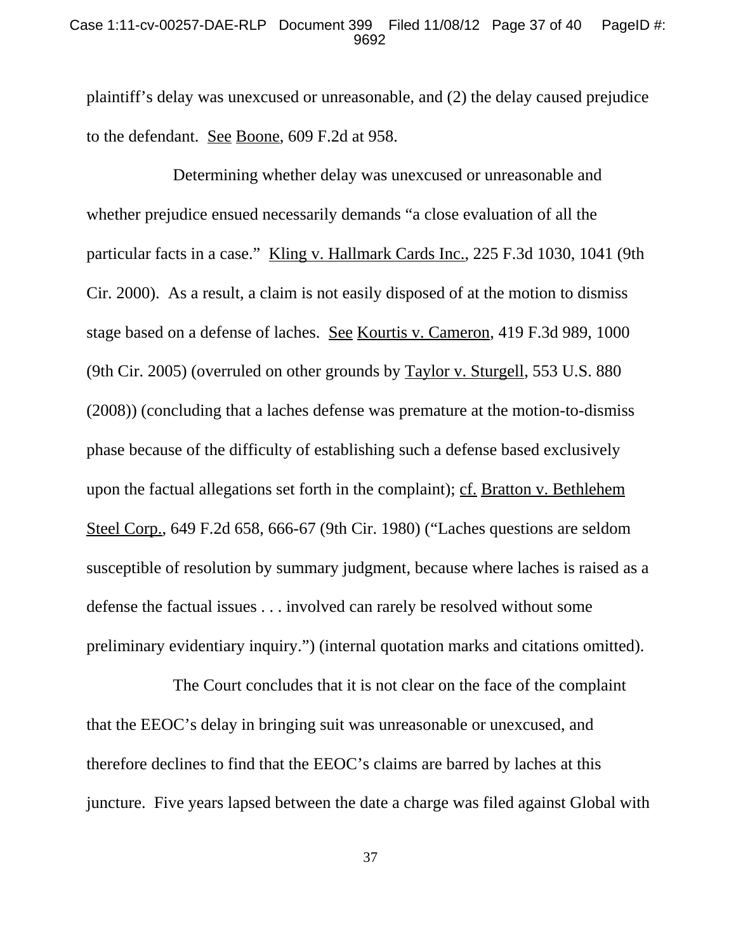#### Case 1:11-cv-00257-DAE-RLP Document 399 Filed 11/08/12 Page 37 of 40 PageID #: 9692

plaintiff's delay was unexcused or unreasonable, and (2) the delay caused prejudice to the defendant. See Boone, 609 F.2d at 958.

Determining whether delay was unexcused or unreasonable and whether prejudice ensued necessarily demands "a close evaluation of all the particular facts in a case." Kling v. Hallmark Cards Inc., 225 F.3d 1030, 1041 (9th Cir. 2000). As a result, a claim is not easily disposed of at the motion to dismiss stage based on a defense of laches. See Kourtis v. Cameron, 419 F.3d 989, 1000 (9th Cir. 2005) (overruled on other grounds by Taylor v. Sturgell, 553 U.S. 880 (2008)) (concluding that a laches defense was premature at the motion-to-dismiss phase because of the difficulty of establishing such a defense based exclusively upon the factual allegations set forth in the complaint); cf. Bratton v. Bethlehem Steel Corp., 649 F.2d 658, 666-67 (9th Cir. 1980) ("Laches questions are seldom susceptible of resolution by summary judgment, because where laches is raised as a defense the factual issues . . . involved can rarely be resolved without some preliminary evidentiary inquiry.") (internal quotation marks and citations omitted).

The Court concludes that it is not clear on the face of the complaint that the EEOC's delay in bringing suit was unreasonable or unexcused, and therefore declines to find that the EEOC's claims are barred by laches at this juncture. Five years lapsed between the date a charge was filed against Global with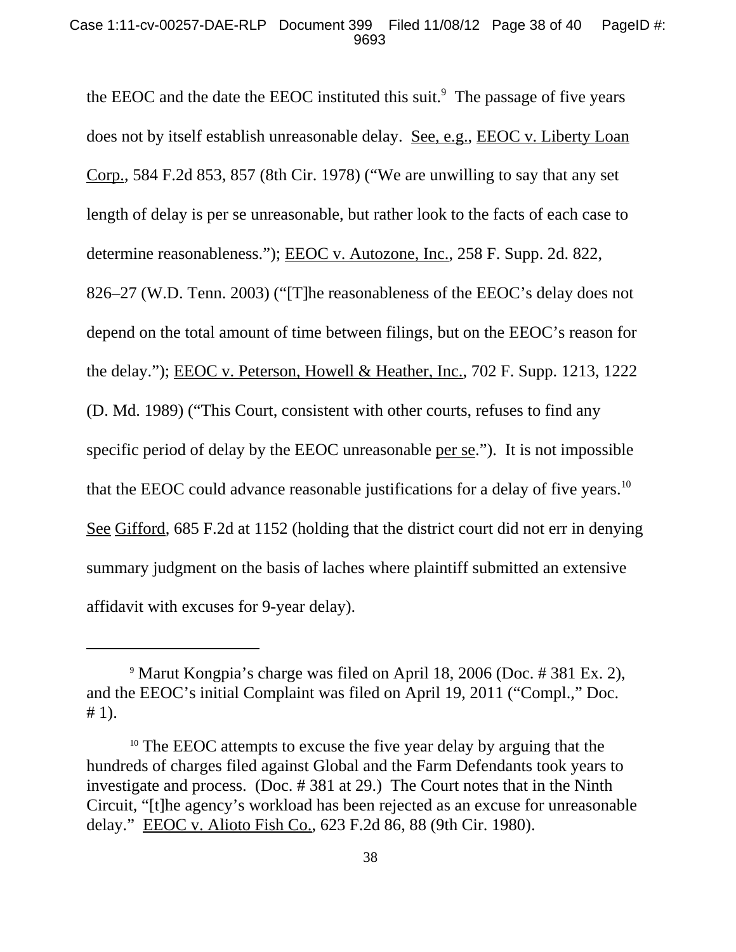the EEOC and the date the EEOC instituted this suit. $<sup>9</sup>$  The passage of five years</sup> does not by itself establish unreasonable delay. See, e.g., EEOC v. Liberty Loan Corp., 584 F.2d 853, 857 (8th Cir. 1978) ("We are unwilling to say that any set length of delay is per se unreasonable, but rather look to the facts of each case to determine reasonableness."); EEOC v. Autozone, Inc., 258 F. Supp. 2d. 822, 826–27 (W.D. Tenn. 2003) ("[T]he reasonableness of the EEOC's delay does not depend on the total amount of time between filings, but on the EEOC's reason for the delay."); EEOC v. Peterson, Howell & Heather, Inc., 702 F. Supp. 1213, 1222 (D. Md. 1989) ("This Court, consistent with other courts, refuses to find any specific period of delay by the EEOC unreasonable per se."). It is not impossible that the EEOC could advance reasonable justifications for a delay of five years.<sup>10</sup> See Gifford, 685 F.2d at 1152 (holding that the district court did not err in denying summary judgment on the basis of laches where plaintiff submitted an extensive affidavit with excuses for 9-year delay).

<sup>9</sup> Marut Kongpia's charge was filed on April 18, 2006 (Doc. # 381 Ex. 2), and the EEOC's initial Complaint was filed on April 19, 2011 ("Compl.," Doc. # 1).

<sup>&</sup>lt;sup>10</sup> The EEOC attempts to excuse the five year delay by arguing that the hundreds of charges filed against Global and the Farm Defendants took years to investigate and process. (Doc. # 381 at 29.) The Court notes that in the Ninth Circuit, "[t]he agency's workload has been rejected as an excuse for unreasonable delay." EEOC v. Alioto Fish Co., 623 F.2d 86, 88 (9th Cir. 1980).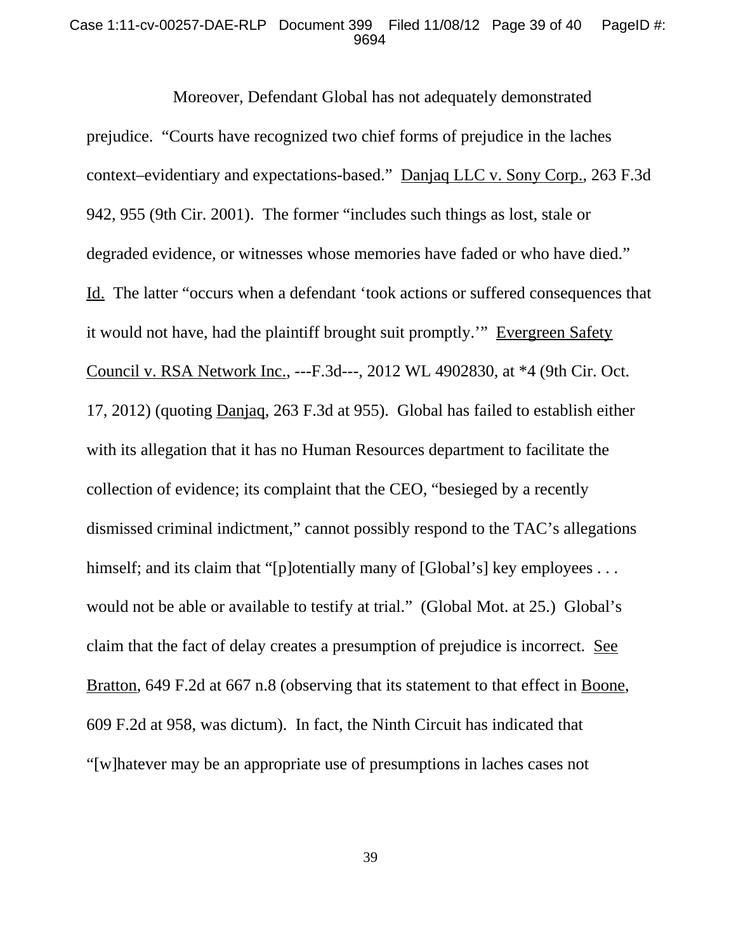#### Case 1:11-cv-00257-DAE-RLP Document 399 Filed 11/08/12 Page 39 of 40 PageID #: 9694

Moreover, Defendant Global has not adequately demonstrated prejudice. "Courts have recognized two chief forms of prejudice in the laches context–evidentiary and expectations-based." Danjaq LLC v. Sony Corp., 263 F.3d 942, 955 (9th Cir. 2001). The former "includes such things as lost, stale or degraded evidence, or witnesses whose memories have faded or who have died." Id. The latter "occurs when a defendant 'took actions or suffered consequences that it would not have, had the plaintiff brought suit promptly.'" Evergreen Safety Council v. RSA Network Inc., ---F.3d---, 2012 WL 4902830, at \*4 (9th Cir. Oct. 17, 2012) (quoting Danjaq, 263 F.3d at 955). Global has failed to establish either with its allegation that it has no Human Resources department to facilitate the collection of evidence; its complaint that the CEO, "besieged by a recently dismissed criminal indictment," cannot possibly respond to the TAC's allegations himself; and its claim that "[p]otentially many of [Global's] key employees ... would not be able or available to testify at trial." (Global Mot. at 25.) Global's claim that the fact of delay creates a presumption of prejudice is incorrect. See Bratton, 649 F.2d at 667 n.8 (observing that its statement to that effect in Boone, 609 F.2d at 958, was dictum). In fact, the Ninth Circuit has indicated that "[w]hatever may be an appropriate use of presumptions in laches cases not